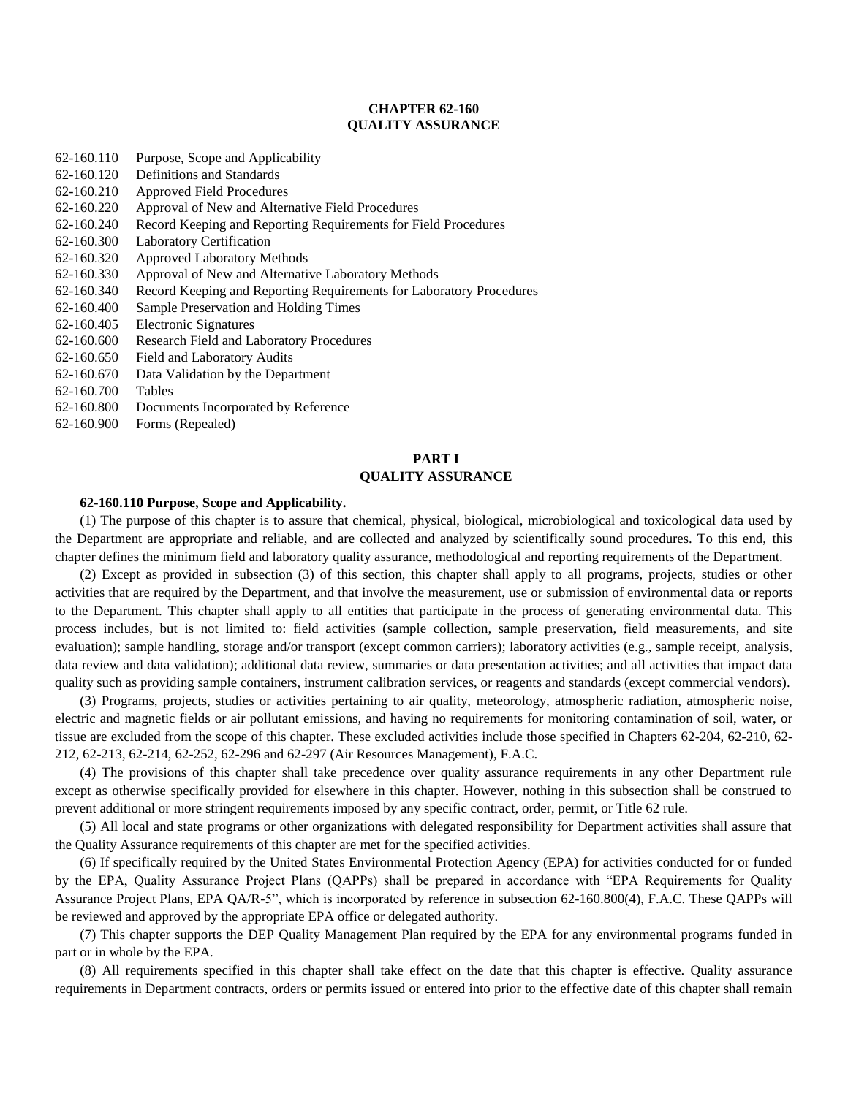# **CHAPTER 62-160 QUALITY ASSURANCE**

- 62-160.110 Purpose, Scope and Applicability
- 62-160.120 Definitions and Standards
- 62-160.210 Approved Field Procedures
- 62-160.220 Approval of New and Alternative Field Procedures
- 62-160.240 Record Keeping and Reporting Requirements for Field Procedures
- 62-160.300 Laboratory Certification
- 62-160.320 Approved Laboratory Methods
- 62-160.330 Approval of New and Alternative Laboratory Methods
- 62-160.340 Record Keeping and Reporting Requirements for Laboratory Procedures
- 62-160.400 Sample Preservation and Holding Times
- 62-160.405 Electronic Signatures
- 62-160.600 Research Field and Laboratory Procedures
- 62-160.650 Field and Laboratory Audits
- 62-160.670 Data Validation by the Department
- 62-160.700 Tables
- 62-160.800 Documents Incorporated by Reference
- 62-160.900 Forms (Repealed)

# **PART I QUALITY ASSURANCE**

#### **62-160.110 Purpose, Scope and Applicability.**

(1) The purpose of this chapter is to assure that chemical, physical, biological, microbiological and toxicological data used by the Department are appropriate and reliable, and are collected and analyzed by scientifically sound procedures. To this end, this chapter defines the minimum field and laboratory quality assurance, methodological and reporting requirements of the Department.

(2) Except as provided in subsection (3) of this section, this chapter shall apply to all programs, projects, studies or other activities that are required by the Department, and that involve the measurement, use or submission of environmental data or reports to the Department. This chapter shall apply to all entities that participate in the process of generating environmental data. This process includes, but is not limited to: field activities (sample collection, sample preservation, field measurements, and site evaluation); sample handling, storage and/or transport (except common carriers); laboratory activities (e.g., sample receipt, analysis, data review and data validation); additional data review, summaries or data presentation activities; and all activities that impact data quality such as providing sample containers, instrument calibration services, or reagents and standards (except commercial vendors).

(3) Programs, projects, studies or activities pertaining to air quality, meteorology, atmospheric radiation, atmospheric noise, electric and magnetic fields or air pollutant emissions, and having no requirements for monitoring contamination of soil, water, or tissue are excluded from the scope of this chapter. These excluded activities include those specified in Chapters 62-204, 62-210, 62- 212, 62-213, 62-214, 62-252, 62-296 and 62-297 (Air Resources Management), F.A.C.

(4) The provisions of this chapter shall take precedence over quality assurance requirements in any other Department rule except as otherwise specifically provided for elsewhere in this chapter. However, nothing in this subsection shall be construed to prevent additional or more stringent requirements imposed by any specific contract, order, permit, or Title 62 rule.

(5) All local and state programs or other organizations with delegated responsibility for Department activities shall assure that the Quality Assurance requirements of this chapter are met for the specified activities.

(6) If specifically required by the United States Environmental Protection Agency (EPA) for activities conducted for or funded by the EPA, Quality Assurance Project Plans (QAPPs) shall be prepared in accordance with "EPA Requirements for Quality Assurance Project Plans, EPA QA/R-5", which is incorporated by reference in subsection 62-160.800(4), F.A.C. These QAPPs will be reviewed and approved by the appropriate EPA office or delegated authority.

(7) This chapter supports the DEP Quality Management Plan required by the EPA for any environmental programs funded in part or in whole by the EPA.

(8) All requirements specified in this chapter shall take effect on the date that this chapter is effective. Quality assurance requirements in Department contracts, orders or permits issued or entered into prior to the effective date of this chapter shall remain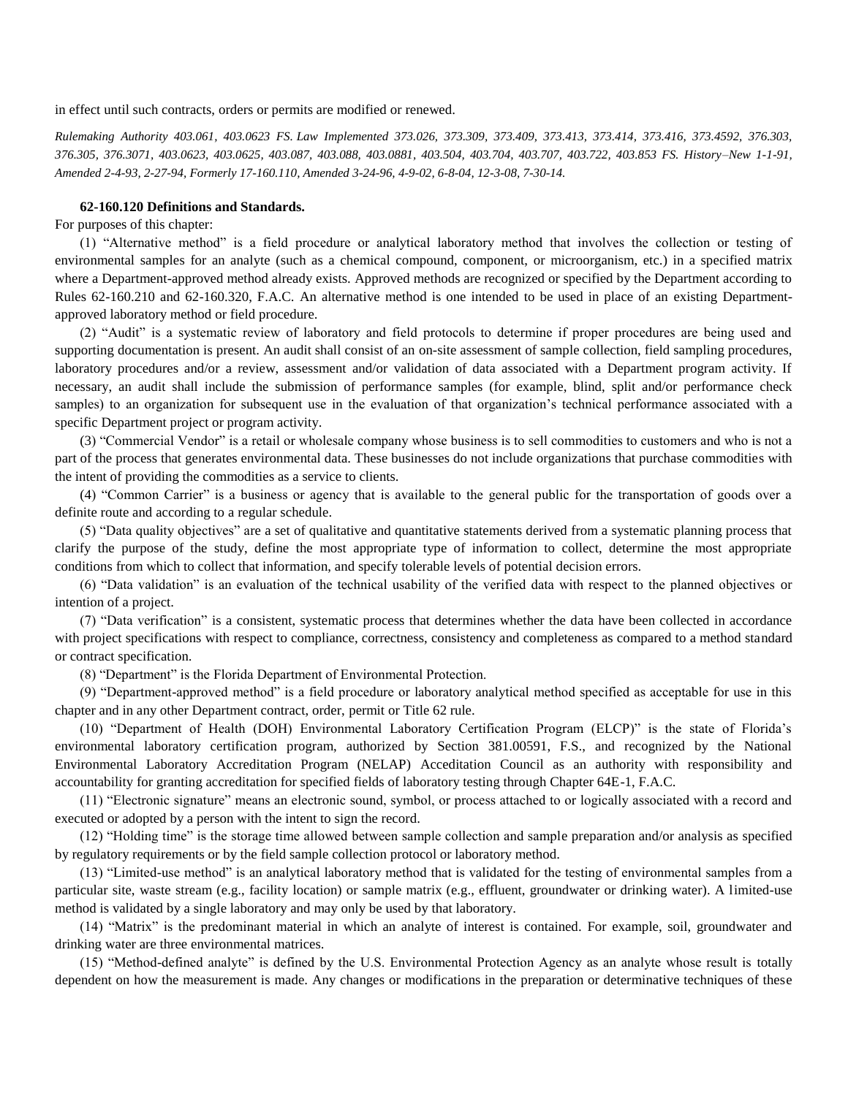in effect until such contracts, orders or permits are modified or renewed.

*Rulemaking Authority 403.061, 403.0623 FS. Law Implemented 373.026, 373.309, 373.409, 373.413, 373.414, 373.416, 373.4592, 376.303, 376.305, 376.3071, 403.0623, 403.0625, 403.087, 403.088, 403.0881, 403.504, 403.704, 403.707, 403.722, 403.853 FS. History–New 1-1-91, Amended 2-4-93, 2-27-94, Formerly 17-160.110, Amended 3-24-96, 4-9-02, 6-8-04, 12-3-08, 7-30-14.*

#### **62-160.120 Definitions and Standards.**

For purposes of this chapter:

(1) "Alternative method" is a field procedure or analytical laboratory method that involves the collection or testing of environmental samples for an analyte (such as a chemical compound, component, or microorganism, etc.) in a specified matrix where a Department-approved method already exists. Approved methods are recognized or specified by the Department according to Rules 62-160.210 and 62-160.320, F.A.C. An alternative method is one intended to be used in place of an existing Departmentapproved laboratory method or field procedure.

(2) "Audit" is a systematic review of laboratory and field protocols to determine if proper procedures are being used and supporting documentation is present. An audit shall consist of an on-site assessment of sample collection, field sampling procedures, laboratory procedures and/or a review, assessment and/or validation of data associated with a Department program activity. If necessary, an audit shall include the submission of performance samples (for example, blind, split and/or performance check samples) to an organization for subsequent use in the evaluation of that organization's technical performance associated with a specific Department project or program activity.

(3) "Commercial Vendor" is a retail or wholesale company whose business is to sell commodities to customers and who is not a part of the process that generates environmental data. These businesses do not include organizations that purchase commodities with the intent of providing the commodities as a service to clients.

(4) "Common Carrier" is a business or agency that is available to the general public for the transportation of goods over a definite route and according to a regular schedule.

(5) "Data quality objectives" are a set of qualitative and quantitative statements derived from a systematic planning process that clarify the purpose of the study, define the most appropriate type of information to collect, determine the most appropriate conditions from which to collect that information, and specify tolerable levels of potential decision errors.

(6) "Data validation" is an evaluation of the technical usability of the verified data with respect to the planned objectives or intention of a project.

(7) "Data verification" is a consistent, systematic process that determines whether the data have been collected in accordance with project specifications with respect to compliance, correctness, consistency and completeness as compared to a method standard or contract specification.

(8) "Department" is the Florida Department of Environmental Protection.

(9) "Department-approved method" is a field procedure or laboratory analytical method specified as acceptable for use in this chapter and in any other Department contract, order, permit or Title 62 rule.

(10) "Department of Health (DOH) Environmental Laboratory Certification Program (ELCP)" is the state of Florida's environmental laboratory certification program, authorized by Section 381.00591, F.S., and recognized by the National Environmental Laboratory Accreditation Program (NELAP) Acceditation Council as an authority with responsibility and accountability for granting accreditation for specified fields of laboratory testing through Chapter 64E-1, F.A.C.

(11) "Electronic signature" means an electronic sound, symbol, or process attached to or logically associated with a record and executed or adopted by a person with the intent to sign the record.

(12) "Holding time" is the storage time allowed between sample collection and sample preparation and/or analysis as specified by regulatory requirements or by the field sample collection protocol or laboratory method.

(13) "Limited-use method" is an analytical laboratory method that is validated for the testing of environmental samples from a particular site, waste stream (e.g., facility location) or sample matrix (e.g., effluent, groundwater or drinking water). A limited-use method is validated by a single laboratory and may only be used by that laboratory.

(14) "Matrix" is the predominant material in which an analyte of interest is contained. For example, soil, groundwater and drinking water are three environmental matrices.

(15) "Method-defined analyte" is defined by the U.S. Environmental Protection Agency as an analyte whose result is totally dependent on how the measurement is made. Any changes or modifications in the preparation or determinative techniques of these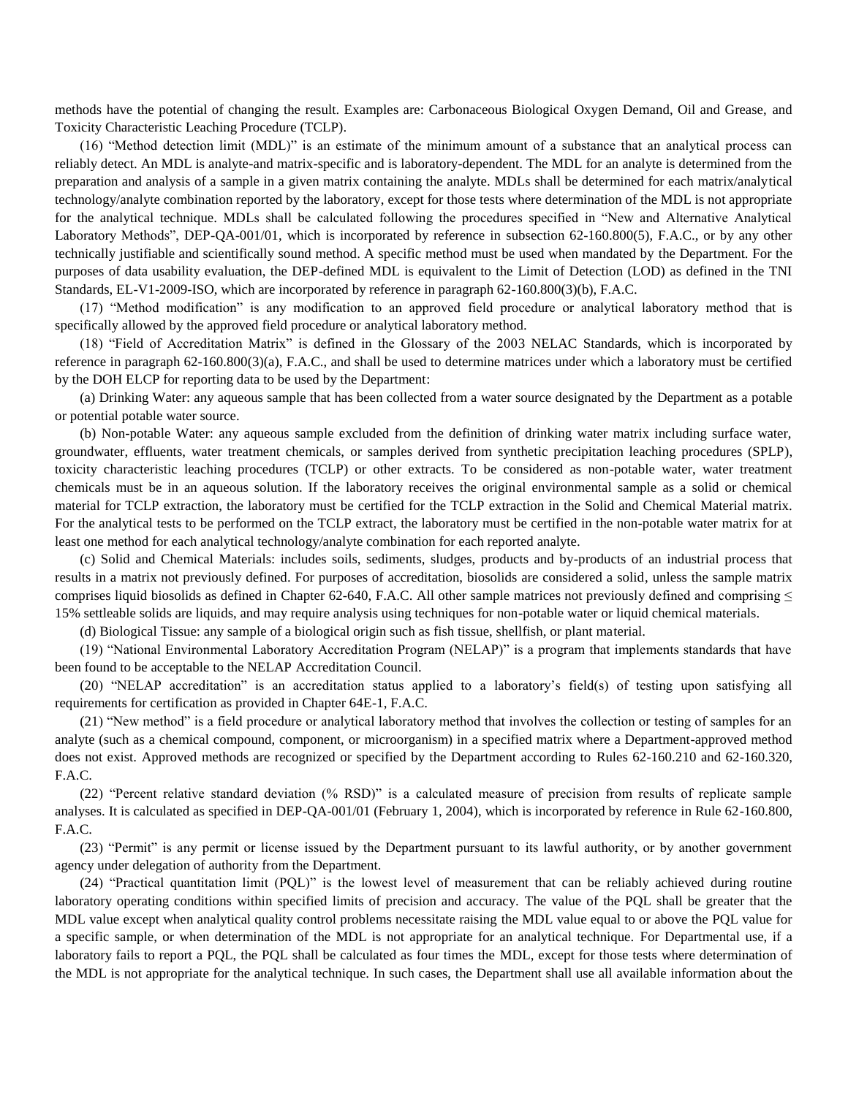methods have the potential of changing the result. Examples are: Carbonaceous Biological Oxygen Demand, Oil and Grease, and Toxicity Characteristic Leaching Procedure (TCLP).

(16) "Method detection limit (MDL)" is an estimate of the minimum amount of a substance that an analytical process can reliably detect. An MDL is analyte-and matrix-specific and is laboratory-dependent. The MDL for an analyte is determined from the preparation and analysis of a sample in a given matrix containing the analyte. MDLs shall be determined for each matrix/analytical technology/analyte combination reported by the laboratory, except for those tests where determination of the MDL is not appropriate for the analytical technique. MDLs shall be calculated following the procedures specified in "New and Alternative Analytical Laboratory Methods", DEP-QA-001/01, which is incorporated by reference in subsection 62-160.800(5), F.A.C., or by any other technically justifiable and scientifically sound method. A specific method must be used when mandated by the Department. For the purposes of data usability evaluation, the DEP-defined MDL is equivalent to the Limit of Detection (LOD) as defined in the TNI Standards, EL-V1-2009-ISO, which are incorporated by reference in paragraph 62-160.800(3)(b), F.A.C.

(17) "Method modification" is any modification to an approved field procedure or analytical laboratory method that is specifically allowed by the approved field procedure or analytical laboratory method.

(18) "Field of Accreditation Matrix" is defined in the Glossary of the 2003 NELAC Standards, which is incorporated by reference in paragraph 62-160.800(3)(a), F.A.C., and shall be used to determine matrices under which a laboratory must be certified by the DOH ELCP for reporting data to be used by the Department:

(a) Drinking Water: any aqueous sample that has been collected from a water source designated by the Department as a potable or potential potable water source.

(b) Non-potable Water: any aqueous sample excluded from the definition of drinking water matrix including surface water, groundwater, effluents, water treatment chemicals, or samples derived from synthetic precipitation leaching procedures (SPLP), toxicity characteristic leaching procedures (TCLP) or other extracts. To be considered as non-potable water, water treatment chemicals must be in an aqueous solution. If the laboratory receives the original environmental sample as a solid or chemical material for TCLP extraction, the laboratory must be certified for the TCLP extraction in the Solid and Chemical Material matrix. For the analytical tests to be performed on the TCLP extract, the laboratory must be certified in the non-potable water matrix for at least one method for each analytical technology/analyte combination for each reported analyte.

(c) Solid and Chemical Materials: includes soils, sediments, sludges, products and by-products of an industrial process that results in a matrix not previously defined. For purposes of accreditation, biosolids are considered a solid, unless the sample matrix comprises liquid biosolids as defined in Chapter 62-640, F.A.C. All other sample matrices not previously defined and comprising  $\leq$ 15% settleable solids are liquids, and may require analysis using techniques for non-potable water or liquid chemical materials.

(d) Biological Tissue: any sample of a biological origin such as fish tissue, shellfish, or plant material.

(19) "National Environmental Laboratory Accreditation Program (NELAP)" is a program that implements standards that have been found to be acceptable to the NELAP Accreditation Council.

(20) "NELAP accreditation" is an accreditation status applied to a laboratory's field(s) of testing upon satisfying all requirements for certification as provided in Chapter 64E-1, F.A.C.

(21) "New method" is a field procedure or analytical laboratory method that involves the collection or testing of samples for an analyte (such as a chemical compound, component, or microorganism) in a specified matrix where a Department-approved method does not exist. Approved methods are recognized or specified by the Department according to Rules 62-160.210 and 62-160.320, F.A.C.

(22) "Percent relative standard deviation (% RSD)" is a calculated measure of precision from results of replicate sample analyses. It is calculated as specified in DEP-QA-001/01 (February 1, 2004), which is incorporated by reference in Rule 62-160.800, F.A.C.

(23) "Permit" is any permit or license issued by the Department pursuant to its lawful authority, or by another government agency under delegation of authority from the Department.

(24) "Practical quantitation limit (PQL)" is the lowest level of measurement that can be reliably achieved during routine laboratory operating conditions within specified limits of precision and accuracy. The value of the PQL shall be greater that the MDL value except when analytical quality control problems necessitate raising the MDL value equal to or above the PQL value for a specific sample, or when determination of the MDL is not appropriate for an analytical technique. For Departmental use, if a laboratory fails to report a PQL, the PQL shall be calculated as four times the MDL, except for those tests where determination of the MDL is not appropriate for the analytical technique. In such cases, the Department shall use all available information about the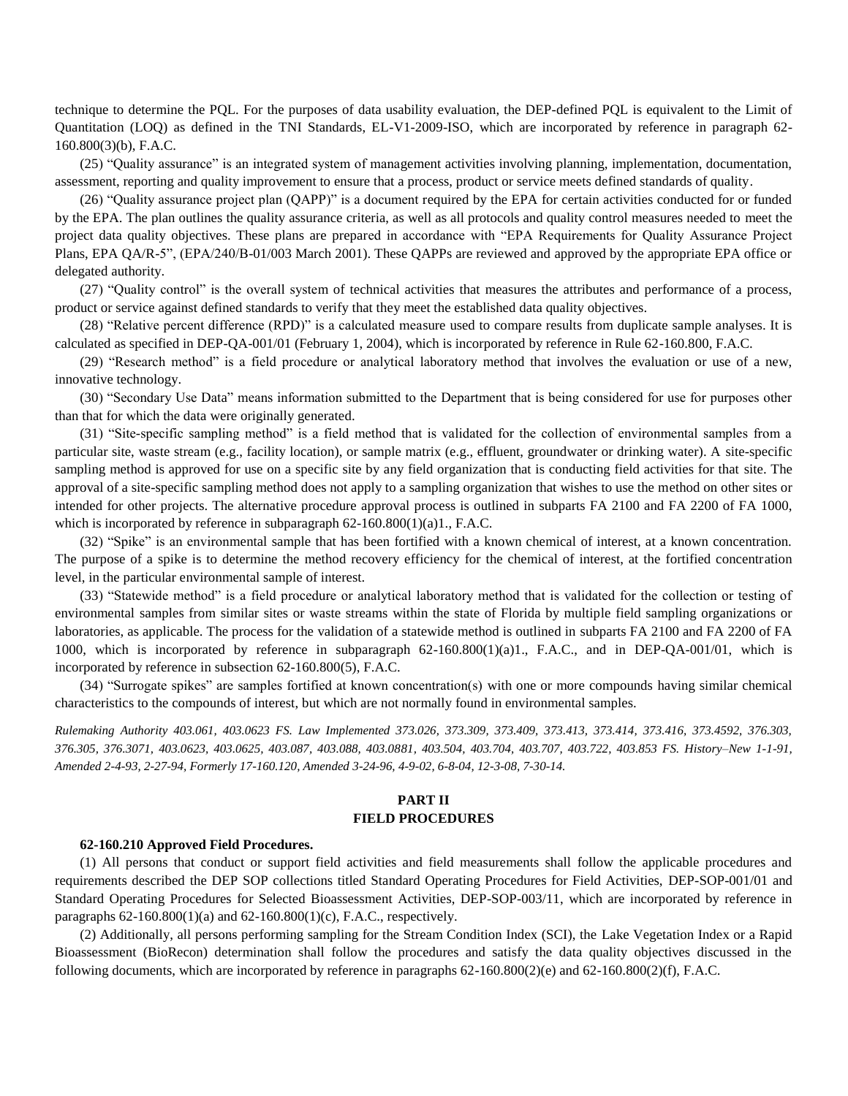technique to determine the PQL. For the purposes of data usability evaluation, the DEP-defined PQL is equivalent to the Limit of Quantitation (LOQ) as defined in the TNI Standards, EL-V1-2009-ISO, which are incorporated by reference in paragraph 62- 160.800(3)(b), F.A.C.

(25) "Quality assurance" is an integrated system of management activities involving planning, implementation, documentation, assessment, reporting and quality improvement to ensure that a process, product or service meets defined standards of quality.

(26) "Quality assurance project plan (QAPP)" is a document required by the EPA for certain activities conducted for or funded by the EPA. The plan outlines the quality assurance criteria, as well as all protocols and quality control measures needed to meet the project data quality objectives. These plans are prepared in accordance with "EPA Requirements for Quality Assurance Project Plans, EPA QA/R-5", (EPA/240/B-01/003 March 2001). These QAPPs are reviewed and approved by the appropriate EPA office or delegated authority.

(27) "Quality control" is the overall system of technical activities that measures the attributes and performance of a process, product or service against defined standards to verify that they meet the established data quality objectives.

(28) "Relative percent difference (RPD)" is a calculated measure used to compare results from duplicate sample analyses. It is calculated as specified in DEP-QA-001/01 (February 1, 2004), which is incorporated by reference in Rule 62-160.800, F.A.C.

(29) "Research method" is a field procedure or analytical laboratory method that involves the evaluation or use of a new, innovative technology.

(30) "Secondary Use Data" means information submitted to the Department that is being considered for use for purposes other than that for which the data were originally generated.

(31) "Site-specific sampling method" is a field method that is validated for the collection of environmental samples from a particular site, waste stream (e.g., facility location), or sample matrix (e.g., effluent, groundwater or drinking water). A site-specific sampling method is approved for use on a specific site by any field organization that is conducting field activities for that site. The approval of a site-specific sampling method does not apply to a sampling organization that wishes to use the method on other sites or intended for other projects. The alternative procedure approval process is outlined in subparts FA 2100 and FA 2200 of FA 1000, which is incorporated by reference in subparagraph  $62-160.800(1)(a)1$ ., F.A.C.

(32) "Spike" is an environmental sample that has been fortified with a known chemical of interest, at a known concentration. The purpose of a spike is to determine the method recovery efficiency for the chemical of interest, at the fortified concentration level, in the particular environmental sample of interest.

(33) "Statewide method" is a field procedure or analytical laboratory method that is validated for the collection or testing of environmental samples from similar sites or waste streams within the state of Florida by multiple field sampling organizations or laboratories, as applicable. The process for the validation of a statewide method is outlined in subparts FA 2100 and FA 2200 of FA 1000, which is incorporated by reference in subparagraph 62-160.800(1)(a)1., F.A.C., and in DEP-QA-001/01, which is incorporated by reference in subsection 62-160.800(5), F.A.C.

(34) "Surrogate spikes" are samples fortified at known concentration(s) with one or more compounds having similar chemical characteristics to the compounds of interest, but which are not normally found in environmental samples.

*Rulemaking Authority 403.061, 403.0623 FS. Law Implemented 373.026, 373.309, 373.409, 373.413, 373.414, 373.416, 373.4592, 376.303, 376.305, 376.3071, 403.0623, 403.0625, 403.087, 403.088, 403.0881, 403.504, 403.704, 403.707, 403.722, 403.853 FS. History–New 1-1-91, Amended 2-4-93, 2-27-94, Formerly 17-160.120, Amended 3-24-96, 4-9-02, 6-8-04, 12-3-08, 7-30-14.*

# **PART II FIELD PROCEDURES**

#### **62-160.210 Approved Field Procedures.**

(1) All persons that conduct or support field activities and field measurements shall follow the applicable procedures and requirements described the DEP SOP collections titled Standard Operating Procedures for Field Activities, DEP-SOP-001/01 and Standard Operating Procedures for Selected Bioassessment Activities, DEP-SOP-003/11, which are incorporated by reference in paragraphs  $62-160.800(1)(a)$  and  $62-160.800(1)(c)$ , F.A.C., respectively.

(2) Additionally, all persons performing sampling for the Stream Condition Index (SCI), the Lake Vegetation Index or a Rapid Bioassessment (BioRecon) determination shall follow the procedures and satisfy the data quality objectives discussed in the following documents, which are incorporated by reference in paragraphs 62-160.800(2)(e) and 62-160.800(2)(f), F.A.C.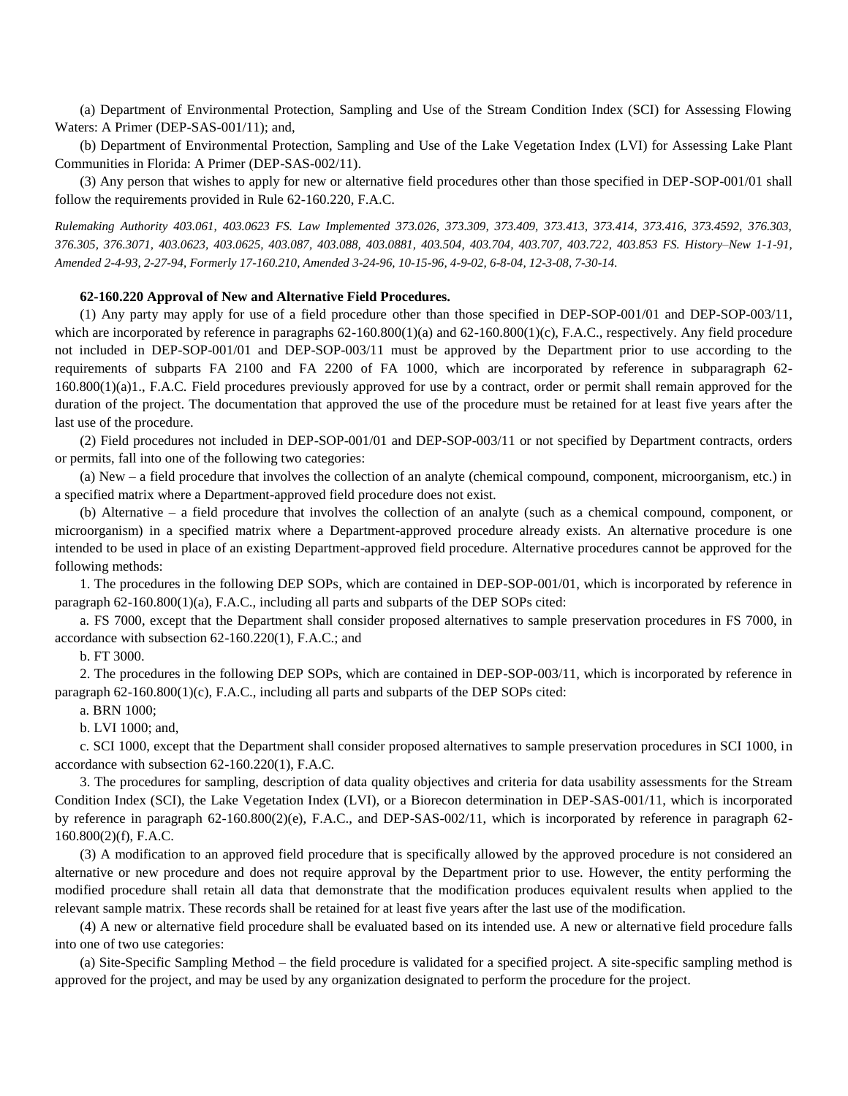(a) Department of Environmental Protection, Sampling and Use of the Stream Condition Index (SCI) for Assessing Flowing Waters: A Primer (DEP-SAS-001/11); and,

(b) Department of Environmental Protection, Sampling and Use of the Lake Vegetation Index (LVI) for Assessing Lake Plant Communities in Florida: A Primer (DEP-SAS-002/11).

(3) Any person that wishes to apply for new or alternative field procedures other than those specified in DEP-SOP-001/01 shall follow the requirements provided in Rule 62-160.220, F.A.C.

*Rulemaking Authority 403.061, 403.0623 FS. Law Implemented 373.026, 373.309, 373.409, 373.413, 373.414, 373.416, 373.4592, 376.303, 376.305, 376.3071, 403.0623, 403.0625, 403.087, 403.088, 403.0881, 403.504, 403.704, 403.707, 403.722, 403.853 FS. History–New 1-1-91, Amended 2-4-93, 2-27-94, Formerly 17-160.210, Amended 3-24-96, 10-15-96, 4-9-02, 6-8-04, 12-3-08, 7-30-14.*

# **62-160.220 Approval of New and Alternative Field Procedures.**

(1) Any party may apply for use of a field procedure other than those specified in DEP-SOP-001/01 and DEP-SOP-003/11, which are incorporated by reference in paragraphs  $62-160.800(1)(a)$  and  $62-160.800(1)(c)$ , F.A.C., respectively. Any field procedure not included in DEP-SOP-001/01 and DEP-SOP-003/11 must be approved by the Department prior to use according to the requirements of subparts FA 2100 and FA 2200 of FA 1000, which are incorporated by reference in subparagraph 62-  $160.800(1)(a)1$ ., F.A.C. Field procedures previously approved for use by a contract, order or permit shall remain approved for the duration of the project. The documentation that approved the use of the procedure must be retained for at least five years after the last use of the procedure.

(2) Field procedures not included in DEP-SOP-001/01 and DEP-SOP-003/11 or not specified by Department contracts, orders or permits, fall into one of the following two categories:

(a) New – a field procedure that involves the collection of an analyte (chemical compound, component, microorganism, etc.) in a specified matrix where a Department-approved field procedure does not exist.

(b) Alternative – a field procedure that involves the collection of an analyte (such as a chemical compound, component, or microorganism) in a specified matrix where a Department-approved procedure already exists. An alternative procedure is one intended to be used in place of an existing Department-approved field procedure. Alternative procedures cannot be approved for the following methods:

1. The procedures in the following DEP SOPs, which are contained in DEP-SOP-001/01, which is incorporated by reference in paragraph 62-160.800(1)(a), F.A.C., including all parts and subparts of the DEP SOPs cited:

a. FS 7000, except that the Department shall consider proposed alternatives to sample preservation procedures in FS 7000, in accordance with subsection 62-160.220(1), F.A.C.; and

b. FT 3000.

2. The procedures in the following DEP SOPs, which are contained in DEP-SOP-003/11, which is incorporated by reference in paragraph 62-160.800(1)(c), F.A.C., including all parts and subparts of the DEP SOPs cited:

a. BRN 1000;

b. LVI 1000; and,

c. SCI 1000, except that the Department shall consider proposed alternatives to sample preservation procedures in SCI 1000, in accordance with subsection 62-160.220(1), F.A.C.

3. The procedures for sampling, description of data quality objectives and criteria for data usability assessments for the Stream Condition Index (SCI), the Lake Vegetation Index (LVI), or a Biorecon determination in DEP-SAS-001/11, which is incorporated by reference in paragraph 62-160.800(2)(e), F.A.C., and DEP-SAS-002/11, which is incorporated by reference in paragraph 62- 160.800(2)(f), F.A.C.

(3) A modification to an approved field procedure that is specifically allowed by the approved procedure is not considered an alternative or new procedure and does not require approval by the Department prior to use. However, the entity performing the modified procedure shall retain all data that demonstrate that the modification produces equivalent results when applied to the relevant sample matrix. These records shall be retained for at least five years after the last use of the modification.

(4) A new or alternative field procedure shall be evaluated based on its intended use. A new or alternative field procedure falls into one of two use categories:

(a) Site-Specific Sampling Method – the field procedure is validated for a specified project. A site-specific sampling method is approved for the project, and may be used by any organization designated to perform the procedure for the project.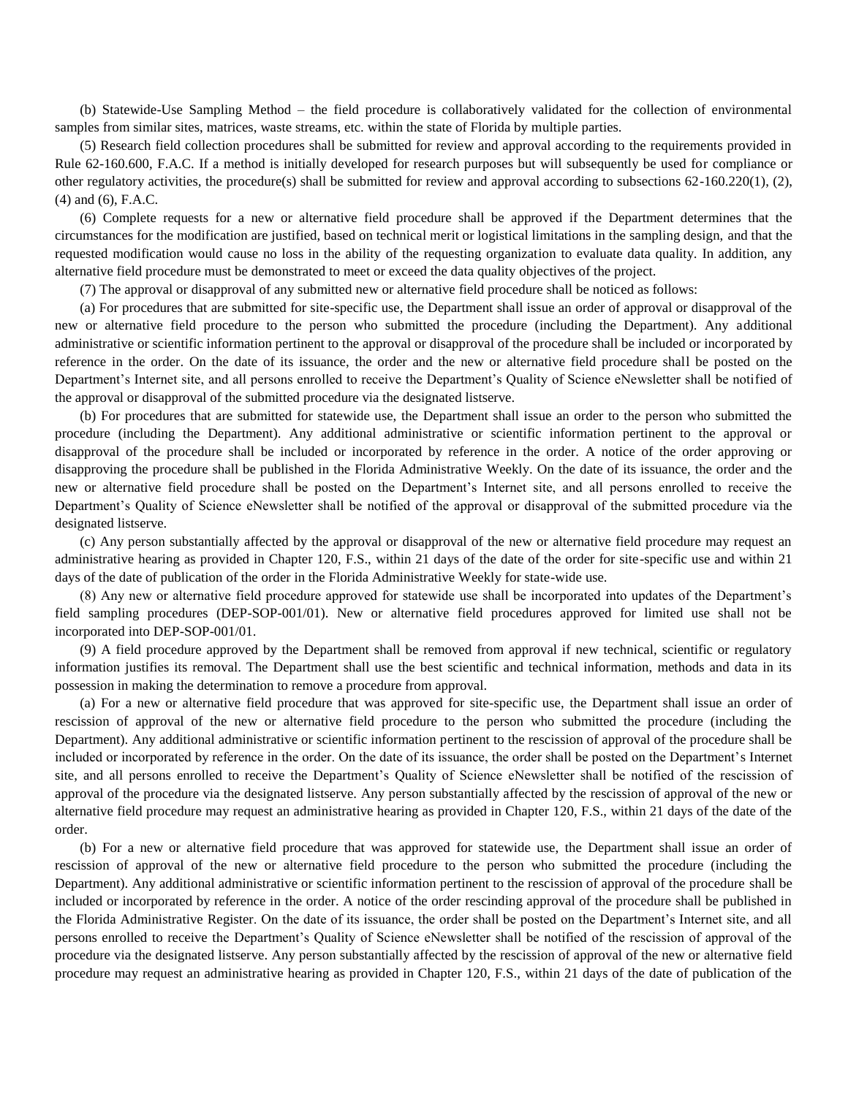(b) Statewide-Use Sampling Method – the field procedure is collaboratively validated for the collection of environmental samples from similar sites, matrices, waste streams, etc. within the state of Florida by multiple parties.

(5) Research field collection procedures shall be submitted for review and approval according to the requirements provided in Rule 62-160.600, F.A.C. If a method is initially developed for research purposes but will subsequently be used for compliance or other regulatory activities, the procedure(s) shall be submitted for review and approval according to subsections 62-160.220(1), (2), (4) and (6), F.A.C.

(6) Complete requests for a new or alternative field procedure shall be approved if the Department determines that the circumstances for the modification are justified, based on technical merit or logistical limitations in the sampling design, and that the requested modification would cause no loss in the ability of the requesting organization to evaluate data quality. In addition, any alternative field procedure must be demonstrated to meet or exceed the data quality objectives of the project.

(7) The approval or disapproval of any submitted new or alternative field procedure shall be noticed as follows:

(a) For procedures that are submitted for site-specific use, the Department shall issue an order of approval or disapproval of the new or alternative field procedure to the person who submitted the procedure (including the Department). Any additional administrative or scientific information pertinent to the approval or disapproval of the procedure shall be included or incorporated by reference in the order. On the date of its issuance, the order and the new or alternative field procedure shall be posted on the Department's Internet site, and all persons enrolled to receive the Department's Quality of Science eNewsletter shall be notified of the approval or disapproval of the submitted procedure via the designated listserve.

(b) For procedures that are submitted for statewide use, the Department shall issue an order to the person who submitted the procedure (including the Department). Any additional administrative or scientific information pertinent to the approval or disapproval of the procedure shall be included or incorporated by reference in the order. A notice of the order approving or disapproving the procedure shall be published in the Florida Administrative Weekly. On the date of its issuance, the order and the new or alternative field procedure shall be posted on the Department's Internet site, and all persons enrolled to receive the Department's Quality of Science eNewsletter shall be notified of the approval or disapproval of the submitted procedure via the designated listserve.

(c) Any person substantially affected by the approval or disapproval of the new or alternative field procedure may request an administrative hearing as provided in Chapter 120, F.S., within 21 days of the date of the order for site-specific use and within 21 days of the date of publication of the order in the Florida Administrative Weekly for state-wide use.

(8) Any new or alternative field procedure approved for statewide use shall be incorporated into updates of the Department's field sampling procedures (DEP-SOP-001/01). New or alternative field procedures approved for limited use shall not be incorporated into DEP-SOP-001/01.

(9) A field procedure approved by the Department shall be removed from approval if new technical, scientific or regulatory information justifies its removal. The Department shall use the best scientific and technical information, methods and data in its possession in making the determination to remove a procedure from approval.

(a) For a new or alternative field procedure that was approved for site-specific use, the Department shall issue an order of rescission of approval of the new or alternative field procedure to the person who submitted the procedure (including the Department). Any additional administrative or scientific information pertinent to the rescission of approval of the procedure shall be included or incorporated by reference in the order. On the date of its issuance, the order shall be posted on the Department's Internet site, and all persons enrolled to receive the Department's Quality of Science eNewsletter shall be notified of the rescission of approval of the procedure via the designated listserve. Any person substantially affected by the rescission of approval of the new or alternative field procedure may request an administrative hearing as provided in Chapter 120, F.S., within 21 days of the date of the order.

(b) For a new or alternative field procedure that was approved for statewide use, the Department shall issue an order of rescission of approval of the new or alternative field procedure to the person who submitted the procedure (including the Department). Any additional administrative or scientific information pertinent to the rescission of approval of the procedure shall be included or incorporated by reference in the order. A notice of the order rescinding approval of the procedure shall be published in the Florida Administrative Register. On the date of its issuance, the order shall be posted on the Department's Internet site, and all persons enrolled to receive the Department's Quality of Science eNewsletter shall be notified of the rescission of approval of the procedure via the designated listserve. Any person substantially affected by the rescission of approval of the new or alternative field procedure may request an administrative hearing as provided in Chapter 120, F.S., within 21 days of the date of publication of the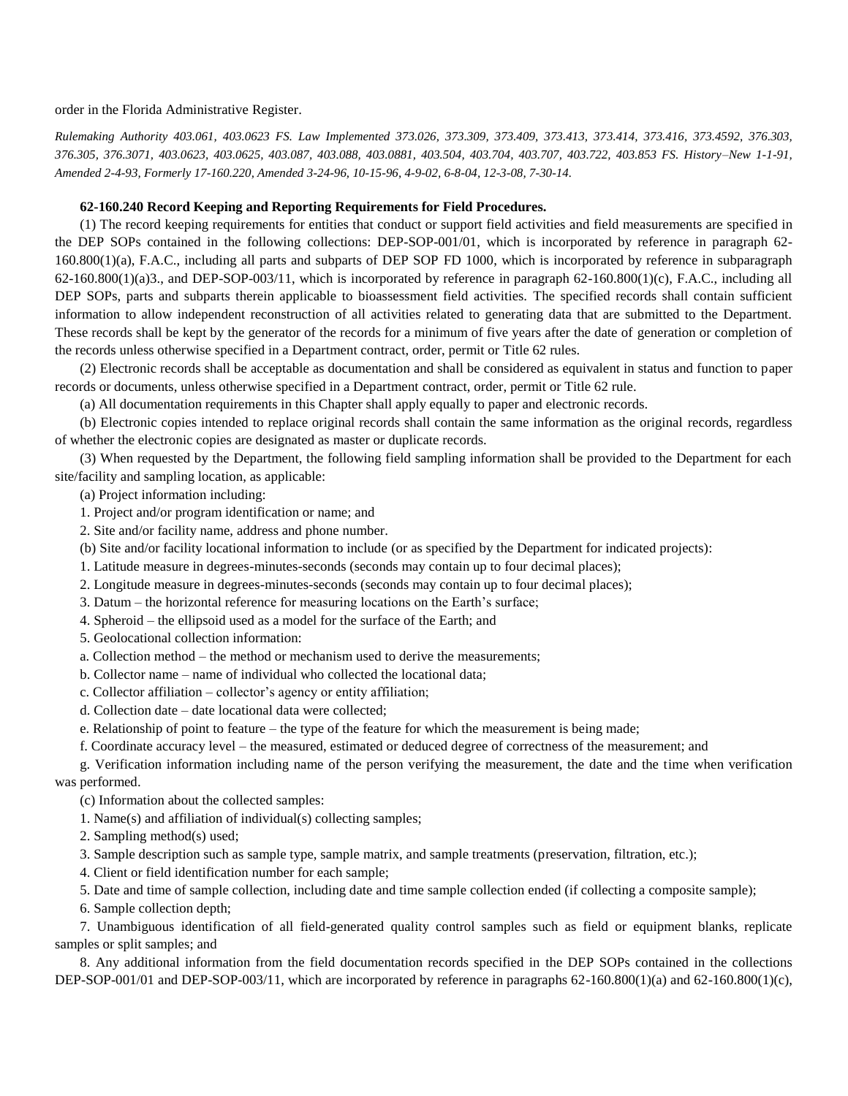order in the Florida Administrative Register.

*Rulemaking Authority 403.061, 403.0623 FS. Law Implemented 373.026, 373.309, 373.409, 373.413, 373.414, 373.416, 373.4592, 376.303, 376.305, 376.3071, 403.0623, 403.0625, 403.087, 403.088, 403.0881, 403.504, 403.704, 403.707, 403.722, 403.853 FS. History–New 1-1-91, Amended 2-4-93, Formerly 17-160.220, Amended 3-24-96, 10-15-96, 4-9-02, 6-8-04, 12-3-08, 7-30-14.*

### **62-160.240 Record Keeping and Reporting Requirements for Field Procedures.**

(1) The record keeping requirements for entities that conduct or support field activities and field measurements are specified in the DEP SOPs contained in the following collections: DEP-SOP-001/01, which is incorporated by reference in paragraph 62- 160.800(1)(a), F.A.C., including all parts and subparts of DEP SOP FD 1000, which is incorporated by reference in subparagraph  $62-160.800(1)(a)3$ ., and DEP-SOP-003/11, which is incorporated by reference in paragraph  $62-160.800(1)(c)$ , F.A.C., including all DEP SOPs, parts and subparts therein applicable to bioassessment field activities. The specified records shall contain sufficient information to allow independent reconstruction of all activities related to generating data that are submitted to the Department. These records shall be kept by the generator of the records for a minimum of five years after the date of generation or completion of the records unless otherwise specified in a Department contract, order, permit or Title 62 rules.

(2) Electronic records shall be acceptable as documentation and shall be considered as equivalent in status and function to paper records or documents, unless otherwise specified in a Department contract, order, permit or Title 62 rule.

(a) All documentation requirements in this Chapter shall apply equally to paper and electronic records.

(b) Electronic copies intended to replace original records shall contain the same information as the original records, regardless of whether the electronic copies are designated as master or duplicate records.

(3) When requested by the Department, the following field sampling information shall be provided to the Department for each site/facility and sampling location, as applicable:

(a) Project information including:

1. Project and/or program identification or name; and

2. Site and/or facility name, address and phone number.

(b) Site and/or facility locational information to include (or as specified by the Department for indicated projects):

1. Latitude measure in degrees-minutes-seconds (seconds may contain up to four decimal places);

2. Longitude measure in degrees-minutes-seconds (seconds may contain up to four decimal places);

3. Datum – the horizontal reference for measuring locations on the Earth's surface;

4. Spheroid – the ellipsoid used as a model for the surface of the Earth; and

5. Geolocational collection information:

a. Collection method – the method or mechanism used to derive the measurements;

b. Collector name – name of individual who collected the locational data;

c. Collector affiliation – collector's agency or entity affiliation;

d. Collection date – date locational data were collected;

e. Relationship of point to feature – the type of the feature for which the measurement is being made;

f. Coordinate accuracy level – the measured, estimated or deduced degree of correctness of the measurement; and

g. Verification information including name of the person verifying the measurement, the date and the time when verification was performed.

(c) Information about the collected samples:

1. Name(s) and affiliation of individual(s) collecting samples;

2. Sampling method(s) used;

3. Sample description such as sample type, sample matrix, and sample treatments (preservation, filtration, etc.);

4. Client or field identification number for each sample;

5. Date and time of sample collection, including date and time sample collection ended (if collecting a composite sample);

6. Sample collection depth;

7. Unambiguous identification of all field-generated quality control samples such as field or equipment blanks, replicate samples or split samples; and

8. Any additional information from the field documentation records specified in the DEP SOPs contained in the collections DEP-SOP-001/01 and DEP-SOP-003/11, which are incorporated by reference in paragraphs  $62-160.800(1)(a)$  and  $62-160.800(1)(c)$ ,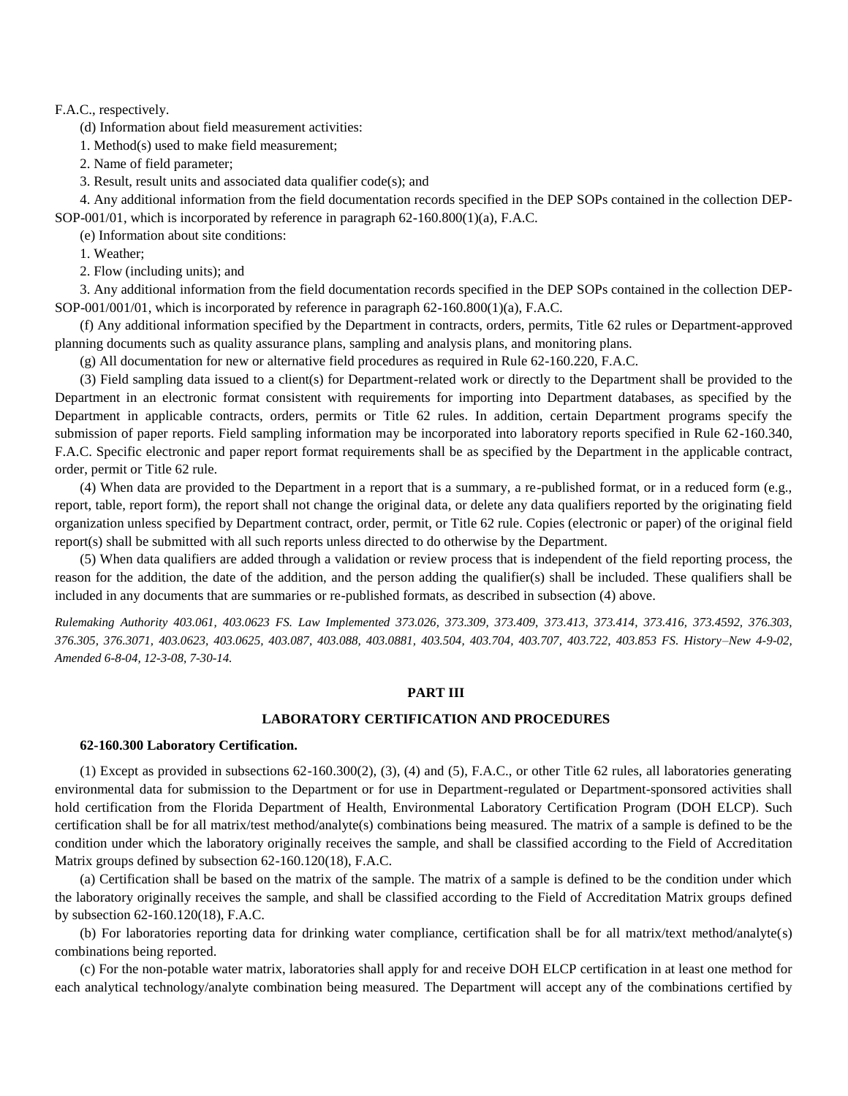### F.A.C., respectively.

(d) Information about field measurement activities:

1. Method(s) used to make field measurement;

2. Name of field parameter;

3. Result, result units and associated data qualifier code(s); and

4. Any additional information from the field documentation records specified in the DEP SOPs contained in the collection DEP-SOP-001/01, which is incorporated by reference in paragraph 62-160.800(1)(a), F.A.C.

(e) Information about site conditions:

1. Weather;

2. Flow (including units); and

3. Any additional information from the field documentation records specified in the DEP SOPs contained in the collection DEP-SOP-001/001/01, which is incorporated by reference in paragraph  $62-160.800(1)(a)$ , F.A.C.

(f) Any additional information specified by the Department in contracts, orders, permits, Title 62 rules or Department-approved planning documents such as quality assurance plans, sampling and analysis plans, and monitoring plans.

(g) All documentation for new or alternative field procedures as required in Rule 62-160.220, F.A.C.

(3) Field sampling data issued to a client(s) for Department-related work or directly to the Department shall be provided to the Department in an electronic format consistent with requirements for importing into Department databases, as specified by the Department in applicable contracts, orders, permits or Title 62 rules. In addition, certain Department programs specify the submission of paper reports. Field sampling information may be incorporated into laboratory reports specified in Rule 62-160.340, F.A.C. Specific electronic and paper report format requirements shall be as specified by the Department in the applicable contract, order, permit or Title 62 rule.

(4) When data are provided to the Department in a report that is a summary, a re-published format, or in a reduced form (e.g., report, table, report form), the report shall not change the original data, or delete any data qualifiers reported by the originating field organization unless specified by Department contract, order, permit, or Title 62 rule. Copies (electronic or paper) of the original field report(s) shall be submitted with all such reports unless directed to do otherwise by the Department.

(5) When data qualifiers are added through a validation or review process that is independent of the field reporting process, the reason for the addition, the date of the addition, and the person adding the qualifier(s) shall be included. These qualifiers shall be included in any documents that are summaries or re-published formats, as described in subsection (4) above.

*Rulemaking Authority 403.061, 403.0623 FS. Law Implemented 373.026, 373.309, 373.409, 373.413, 373.414, 373.416, 373.4592, 376.303, 376.305, 376.3071, 403.0623, 403.0625, 403.087, 403.088, 403.0881, 403.504, 403.704, 403.707, 403.722, 403.853 FS. History–New 4-9-02, Amended 6-8-04, 12-3-08, 7-30-14.*

# **PART III**

### **LABORATORY CERTIFICATION AND PROCEDURES**

#### **62-160.300 Laboratory Certification.**

(1) Except as provided in subsections 62-160.300(2), (3), (4) and (5), F.A.C., or other Title 62 rules, all laboratories generating environmental data for submission to the Department or for use in Department-regulated or Department-sponsored activities shall hold certification from the Florida Department of Health, Environmental Laboratory Certification Program (DOH ELCP). Such certification shall be for all matrix/test method/analyte(s) combinations being measured. The matrix of a sample is defined to be the condition under which the laboratory originally receives the sample, and shall be classified according to the Field of Accreditation Matrix groups defined by subsection 62-160.120(18), F.A.C.

(a) Certification shall be based on the matrix of the sample. The matrix of a sample is defined to be the condition under which the laboratory originally receives the sample, and shall be classified according to the Field of Accreditation Matrix groups defined by subsection 62-160.120(18), F.A.C.

(b) For laboratories reporting data for drinking water compliance, certification shall be for all matrix/text method/analyte(s) combinations being reported.

(c) For the non-potable water matrix, laboratories shall apply for and receive DOH ELCP certification in at least one method for each analytical technology/analyte combination being measured. The Department will accept any of the combinations certified by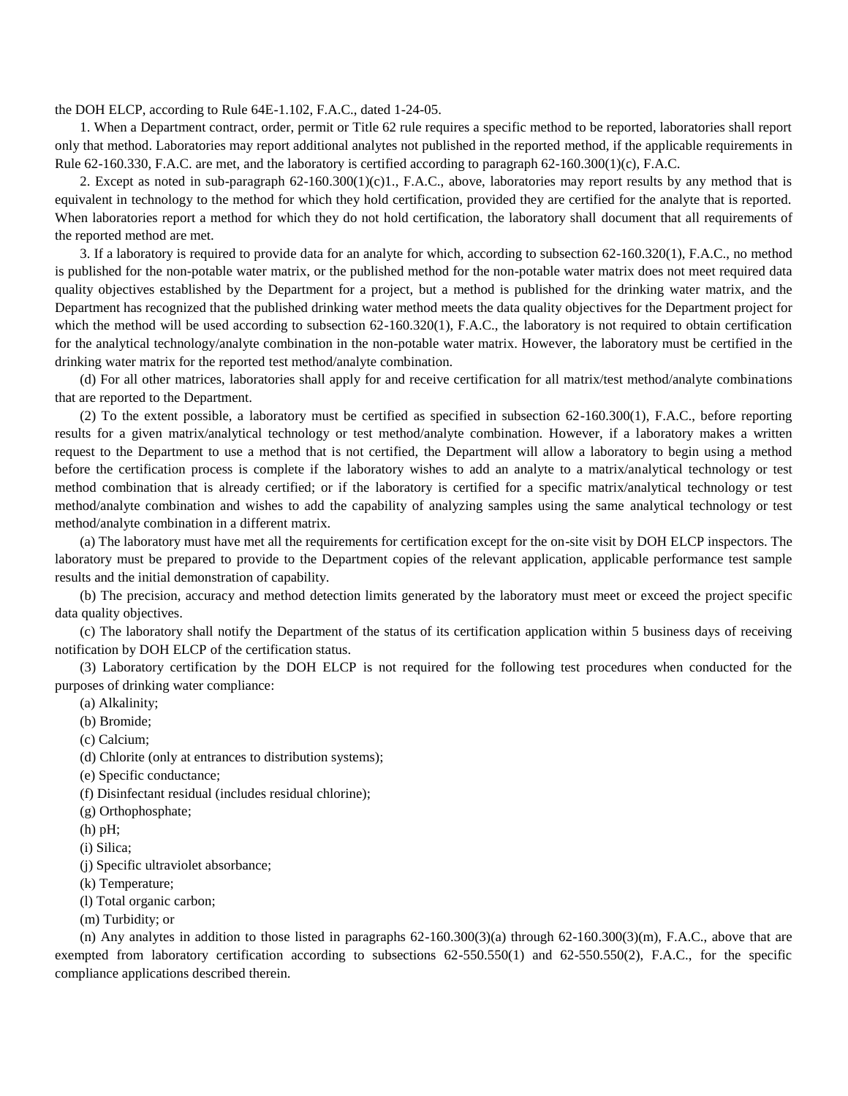the DOH ELCP, according to Rule 64E-1.102, F.A.C., dated 1-24-05.

1. When a Department contract, order, permit or Title 62 rule requires a specific method to be reported, laboratories shall report only that method. Laboratories may report additional analytes not published in the reported method, if the applicable requirements in Rule 62-160.330, F.A.C. are met, and the laboratory is certified according to paragraph 62-160.300(1)(c), F.A.C.

2. Except as noted in sub-paragraph  $62-160.300(1)(c)1$ ., F.A.C., above, laboratories may report results by any method that is equivalent in technology to the method for which they hold certification, provided they are certified for the analyte that is reported. When laboratories report a method for which they do not hold certification, the laboratory shall document that all requirements of the reported method are met.

3. If a laboratory is required to provide data for an analyte for which, according to subsection 62-160.320(1), F.A.C., no method is published for the non-potable water matrix, or the published method for the non-potable water matrix does not meet required data quality objectives established by the Department for a project, but a method is published for the drinking water matrix, and the Department has recognized that the published drinking water method meets the data quality objectives for the Department project for which the method will be used according to subsection 62-160.320(1), F.A.C., the laboratory is not required to obtain certification for the analytical technology/analyte combination in the non-potable water matrix. However, the laboratory must be certified in the drinking water matrix for the reported test method/analyte combination.

(d) For all other matrices, laboratories shall apply for and receive certification for all matrix/test method/analyte combinations that are reported to the Department.

(2) To the extent possible, a laboratory must be certified as specified in subsection 62-160.300(1), F.A.C., before reporting results for a given matrix/analytical technology or test method/analyte combination. However, if a laboratory makes a written request to the Department to use a method that is not certified, the Department will allow a laboratory to begin using a method before the certification process is complete if the laboratory wishes to add an analyte to a matrix/analytical technology or test method combination that is already certified; or if the laboratory is certified for a specific matrix/analytical technology or test method/analyte combination and wishes to add the capability of analyzing samples using the same analytical technology or test method/analyte combination in a different matrix.

(a) The laboratory must have met all the requirements for certification except for the on-site visit by DOH ELCP inspectors. The laboratory must be prepared to provide to the Department copies of the relevant application, applicable performance test sample results and the initial demonstration of capability.

(b) The precision, accuracy and method detection limits generated by the laboratory must meet or exceed the project specific data quality objectives.

(c) The laboratory shall notify the Department of the status of its certification application within 5 business days of receiving notification by DOH ELCP of the certification status.

(3) Laboratory certification by the DOH ELCP is not required for the following test procedures when conducted for the purposes of drinking water compliance:

(a) Alkalinity;

(b) Bromide;

(c) Calcium;

(d) Chlorite (only at entrances to distribution systems);

(e) Specific conductance;

(f) Disinfectant residual (includes residual chlorine);

(g) Orthophosphate;

(h) pH;

(i) Silica;

(j) Specific ultraviolet absorbance;

(k) Temperature;

(l) Total organic carbon;

(m) Turbidity; or

(n) Any analytes in addition to those listed in paragraphs  $62-160.300(3)(a)$  through  $62-160.300(3)(m)$ , F.A.C., above that are exempted from laboratory certification according to subsections 62-550.550(1) and 62-550.550(2), F.A.C., for the specific compliance applications described therein.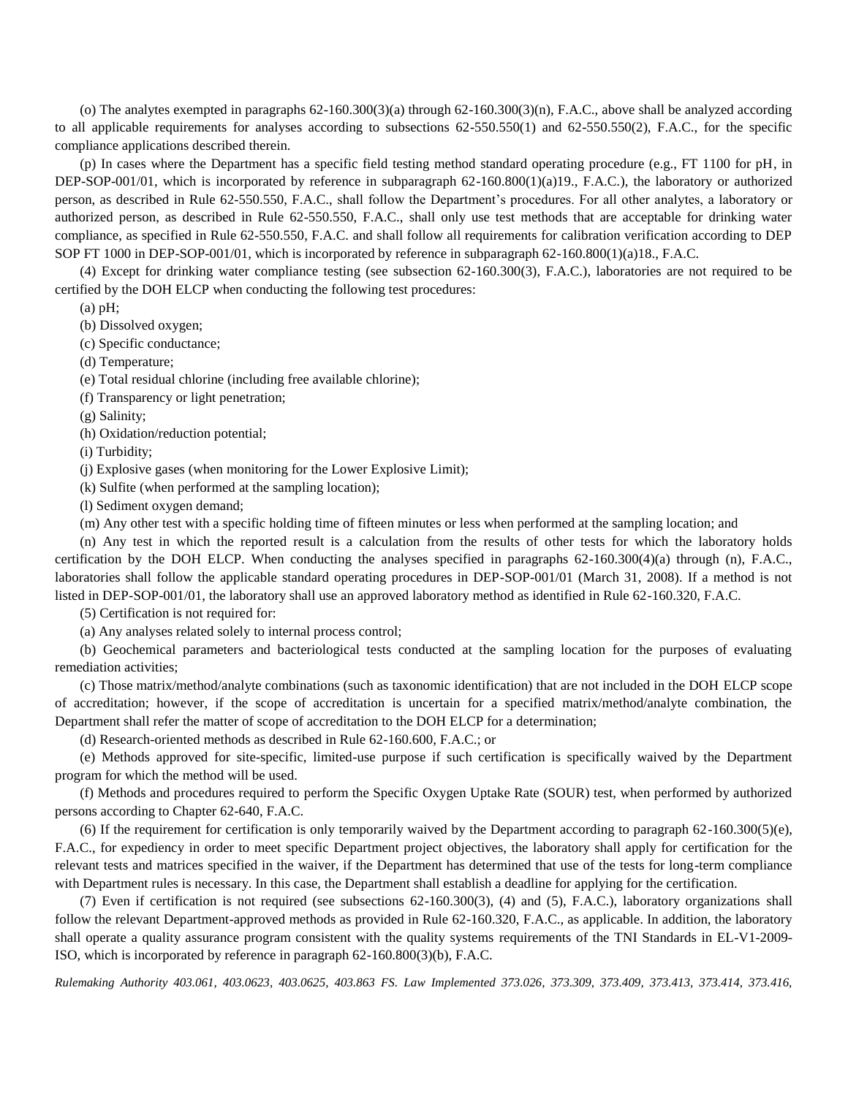(o) The analytes exempted in paragraphs  $62-160.300(3)(a)$  through  $62-160.300(3)(n)$ , F.A.C., above shall be analyzed according to all applicable requirements for analyses according to subsections 62-550.550(1) and 62-550.550(2), F.A.C., for the specific compliance applications described therein.

(p) In cases where the Department has a specific field testing method standard operating procedure (e.g., FT 1100 for pH, in DEP-SOP-001/01, which is incorporated by reference in subparagraph 62-160.800(1)(a)19., F.A.C.), the laboratory or authorized person, as described in Rule 62-550.550, F.A.C., shall follow the Department's procedures. For all other analytes, a laboratory or authorized person, as described in Rule 62-550.550, F.A.C., shall only use test methods that are acceptable for drinking water compliance, as specified in Rule 62-550.550, F.A.C. and shall follow all requirements for calibration verification according to DEP SOP FT 1000 in DEP-SOP-001/01, which is incorporated by reference in subparagraph 62-160.800(1)(a)18., F.A.C.

(4) Except for drinking water compliance testing (see subsection 62-160.300(3), F.A.C.), laboratories are not required to be certified by the DOH ELCP when conducting the following test procedures:

 $(a)$  pH:

(b) Dissolved oxygen;

(c) Specific conductance;

(d) Temperature;

(e) Total residual chlorine (including free available chlorine);

(f) Transparency or light penetration;

(g) Salinity;

(h) Oxidation/reduction potential;

(i) Turbidity;

(j) Explosive gases (when monitoring for the Lower Explosive Limit);

(k) Sulfite (when performed at the sampling location);

(l) Sediment oxygen demand;

(m) Any other test with a specific holding time of fifteen minutes or less when performed at the sampling location; and

(n) Any test in which the reported result is a calculation from the results of other tests for which the laboratory holds certification by the DOH ELCP. When conducting the analyses specified in paragraphs 62-160.300(4)(a) through (n), F.A.C., laboratories shall follow the applicable standard operating procedures in DEP-SOP-001/01 (March 31, 2008). If a method is not listed in DEP-SOP-001/01, the laboratory shall use an approved laboratory method as identified in Rule 62-160.320, F.A.C.

(5) Certification is not required for:

(a) Any analyses related solely to internal process control;

(b) Geochemical parameters and bacteriological tests conducted at the sampling location for the purposes of evaluating remediation activities;

(c) Those matrix/method/analyte combinations (such as taxonomic identification) that are not included in the DOH ELCP scope of accreditation; however, if the scope of accreditation is uncertain for a specified matrix/method/analyte combination, the Department shall refer the matter of scope of accreditation to the DOH ELCP for a determination;

(d) Research-oriented methods as described in Rule 62-160.600, F.A.C.; or

(e) Methods approved for site-specific, limited-use purpose if such certification is specifically waived by the Department program for which the method will be used.

(f) Methods and procedures required to perform the Specific Oxygen Uptake Rate (SOUR) test, when performed by authorized persons according to Chapter 62-640, F.A.C.

(6) If the requirement for certification is only temporarily waived by the Department according to paragraph  $62-160.300(5)(e)$ , F.A.C., for expediency in order to meet specific Department project objectives, the laboratory shall apply for certification for the relevant tests and matrices specified in the waiver, if the Department has determined that use of the tests for long-term compliance with Department rules is necessary. In this case, the Department shall establish a deadline for applying for the certification.

(7) Even if certification is not required (see subsections 62-160.300(3), (4) and (5), F.A.C.), laboratory organizations shall follow the relevant Department-approved methods as provided in Rule 62-160.320, F.A.C., as applicable. In addition, the laboratory shall operate a quality assurance program consistent with the quality systems requirements of the TNI Standards in EL-V1-2009- ISO, which is incorporated by reference in paragraph 62-160.800(3)(b), F.A.C.

*Rulemaking Authority 403.061, 403.0623, 403.0625, 403.863 FS. Law Implemented 373.026, 373.309, 373.409, 373.413, 373.414, 373.416,*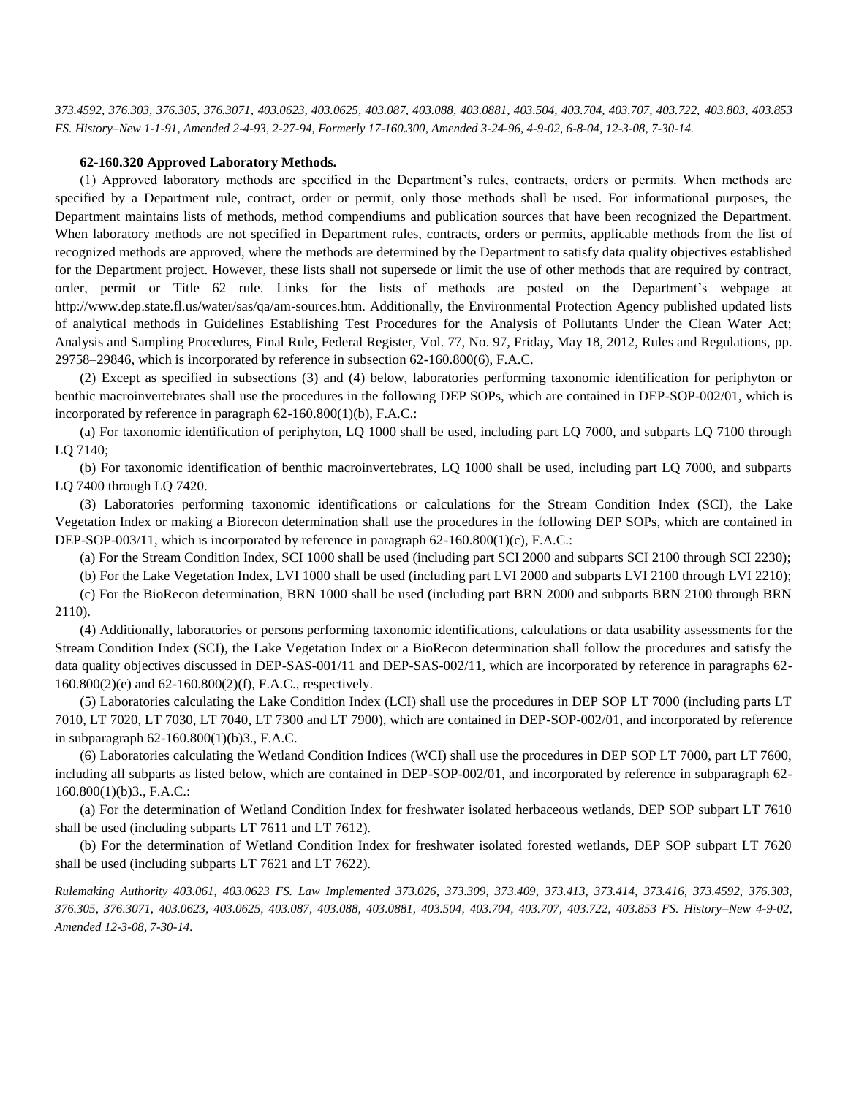*373.4592, 376.303, 376.305, 376.3071, 403.0623, 403.0625, 403.087, 403.088, 403.0881, 403.504, 403.704, 403.707, 403.722, 403.803, 403.853 FS. History–New 1-1-91, Amended 2-4-93, 2-27-94, Formerly 17-160.300, Amended 3-24-96, 4-9-02, 6-8-04, 12-3-08, 7-30-14.*

#### **62-160.320 Approved Laboratory Methods.**

(1) Approved laboratory methods are specified in the Department's rules, contracts, orders or permits. When methods are specified by a Department rule, contract, order or permit, only those methods shall be used. For informational purposes, the Department maintains lists of methods, method compendiums and publication sources that have been recognized the Department. When laboratory methods are not specified in Department rules, contracts, orders or permits, applicable methods from the list of recognized methods are approved, where the methods are determined by the Department to satisfy data quality objectives established for the Department project. However, these lists shall not supersede or limit the use of other methods that are required by contract, order, permit or Title 62 rule. Links for the lists of methods are posted on the Department's webpage at http://www.dep.state.fl.us/water/sas/qa/am-sources.htm. Additionally, the Environmental Protection Agency published updated lists of analytical methods in Guidelines Establishing Test Procedures for the Analysis of Pollutants Under the Clean Water Act; Analysis and Sampling Procedures, Final Rule, Federal Register, Vol. 77, No. 97, Friday, May 18, 2012, Rules and Regulations, pp. 29758–29846, which is incorporated by reference in subsection 62-160.800(6), F.A.C.

(2) Except as specified in subsections (3) and (4) below, laboratories performing taxonomic identification for periphyton or benthic macroinvertebrates shall use the procedures in the following DEP SOPs, which are contained in DEP-SOP-002/01, which is incorporated by reference in paragraph 62-160.800(1)(b), F.A.C.:

(a) For taxonomic identification of periphyton, LQ 1000 shall be used, including part LQ 7000, and subparts LQ 7100 through LQ 7140;

(b) For taxonomic identification of benthic macroinvertebrates, LQ 1000 shall be used, including part LQ 7000, and subparts LQ 7400 through LQ 7420.

(3) Laboratories performing taxonomic identifications or calculations for the Stream Condition Index (SCI), the Lake Vegetation Index or making a Biorecon determination shall use the procedures in the following DEP SOPs, which are contained in DEP-SOP-003/11, which is incorporated by reference in paragraph 62-160.800(1)(c), F.A.C.:

(a) For the Stream Condition Index, SCI 1000 shall be used (including part SCI 2000 and subparts SCI 2100 through SCI 2230);

(b) For the Lake Vegetation Index, LVI 1000 shall be used (including part LVI 2000 and subparts LVI 2100 through LVI 2210);

(c) For the BioRecon determination, BRN 1000 shall be used (including part BRN 2000 and subparts BRN 2100 through BRN 2110).

(4) Additionally, laboratories or persons performing taxonomic identifications, calculations or data usability assessments for the Stream Condition Index (SCI), the Lake Vegetation Index or a BioRecon determination shall follow the procedures and satisfy the data quality objectives discussed in DEP-SAS-001/11 and DEP-SAS-002/11, which are incorporated by reference in paragraphs 62- 160.800(2)(e) and 62-160.800(2)(f), F.A.C., respectively.

(5) Laboratories calculating the Lake Condition Index (LCI) shall use the procedures in DEP SOP LT 7000 (including parts LT 7010, LT 7020, LT 7030, LT 7040, LT 7300 and LT 7900), which are contained in DEP-SOP-002/01, and incorporated by reference in subparagraph 62-160.800(1)(b)3., F.A.C.

(6) Laboratories calculating the Wetland Condition Indices (WCI) shall use the procedures in DEP SOP LT 7000, part LT 7600, including all subparts as listed below, which are contained in DEP-SOP-002/01, and incorporated by reference in subparagraph 62- 160.800(1)(b)3., F.A.C.:

(a) For the determination of Wetland Condition Index for freshwater isolated herbaceous wetlands, DEP SOP subpart LT 7610 shall be used (including subparts LT 7611 and LT 7612).

(b) For the determination of Wetland Condition Index for freshwater isolated forested wetlands, DEP SOP subpart LT 7620 shall be used (including subparts LT 7621 and LT 7622).

*Rulemaking Authority 403.061, 403.0623 FS. Law Implemented 373.026, 373.309, 373.409, 373.413, 373.414, 373.416, 373.4592, 376.303, 376.305, 376.3071, 403.0623, 403.0625, 403.087, 403.088, 403.0881, 403.504, 403.704, 403.707, 403.722, 403.853 FS. History–New 4-9-02, Amended 12-3-08, 7-30-14.*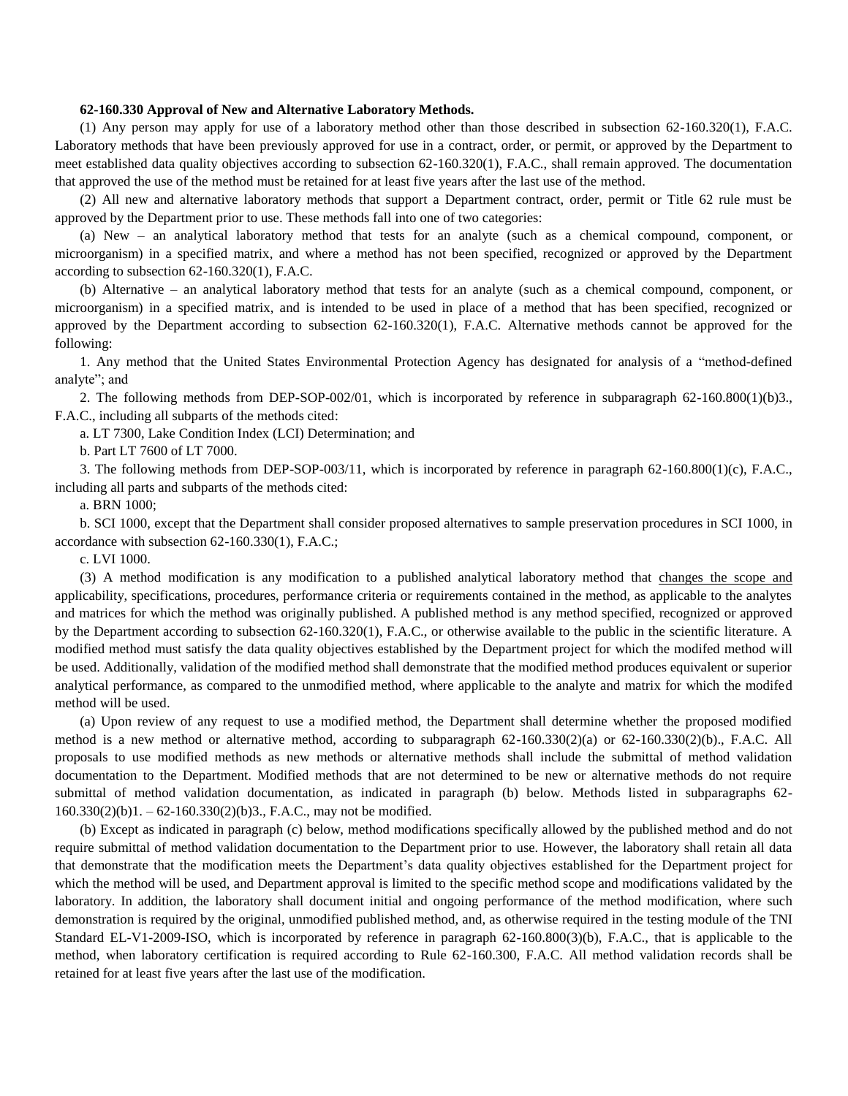### **62-160.330 Approval of New and Alternative Laboratory Methods.**

(1) Any person may apply for use of a laboratory method other than those described in subsection 62-160.320(1), F.A.C. Laboratory methods that have been previously approved for use in a contract, order, or permit, or approved by the Department to meet established data quality objectives according to subsection 62-160.320(1), F.A.C., shall remain approved. The documentation that approved the use of the method must be retained for at least five years after the last use of the method.

(2) All new and alternative laboratory methods that support a Department contract, order, permit or Title 62 rule must be approved by the Department prior to use. These methods fall into one of two categories:

(a) New – an analytical laboratory method that tests for an analyte (such as a chemical compound, component, or microorganism) in a specified matrix, and where a method has not been specified, recognized or approved by the Department according to subsection 62-160.320(1), F.A.C.

(b) Alternative – an analytical laboratory method that tests for an analyte (such as a chemical compound, component, or microorganism) in a specified matrix, and is intended to be used in place of a method that has been specified, recognized or approved by the Department according to subsection 62-160.320(1), F.A.C. Alternative methods cannot be approved for the following:

1. Any method that the United States Environmental Protection Agency has designated for analysis of a "method-defined analyte"; and

2. The following methods from DEP-SOP-002/01, which is incorporated by reference in subparagraph 62-160.800(1)(b)3., F.A.C., including all subparts of the methods cited:

a. LT 7300, Lake Condition Index (LCI) Determination; and

b. Part LT 7600 of LT 7000.

3. The following methods from DEP-SOP-003/11, which is incorporated by reference in paragraph 62-160.800(1)(c), F.A.C., including all parts and subparts of the methods cited:

a. BRN 1000;

b. SCI 1000, except that the Department shall consider proposed alternatives to sample preservation procedures in SCI 1000, in accordance with subsection 62-160.330(1), F.A.C.;

c. LVI 1000.

(3) A method modification is any modification to a published analytical laboratory method that changes the scope and applicability, specifications, procedures, performance criteria or requirements contained in the method, as applicable to the analytes and matrices for which the method was originally published. A published method is any method specified, recognized or approved by the Department according to subsection 62-160.320(1), F.A.C., or otherwise available to the public in the scientific literature. A modified method must satisfy the data quality objectives established by the Department project for which the modifed method will be used. Additionally, validation of the modified method shall demonstrate that the modified method produces equivalent or superior analytical performance, as compared to the unmodified method, where applicable to the analyte and matrix for which the modifed method will be used.

(a) Upon review of any request to use a modified method, the Department shall determine whether the proposed modified method is a new method or alternative method, according to subparagraph 62-160.330(2)(a) or 62-160.330(2)(b)., F.A.C. All proposals to use modified methods as new methods or alternative methods shall include the submittal of method validation documentation to the Department. Modified methods that are not determined to be new or alternative methods do not require submittal of method validation documentation, as indicated in paragraph (b) below. Methods listed in subparagraphs 62- 160.330(2)(b)1. – 62-160.330(2)(b)3., F.A.C., may not be modified.

(b) Except as indicated in paragraph (c) below, method modifications specifically allowed by the published method and do not require submittal of method validation documentation to the Department prior to use. However, the laboratory shall retain all data that demonstrate that the modification meets the Department's data quality objectives established for the Department project for which the method will be used, and Department approval is limited to the specific method scope and modifications validated by the laboratory. In addition, the laboratory shall document initial and ongoing performance of the method modification, where such demonstration is required by the original, unmodified published method, and, as otherwise required in the testing module of the TNI Standard EL-V1-2009-ISO, which is incorporated by reference in paragraph 62-160.800(3)(b), F.A.C., that is applicable to the method, when laboratory certification is required according to Rule 62-160.300, F.A.C. All method validation records shall be retained for at least five years after the last use of the modification.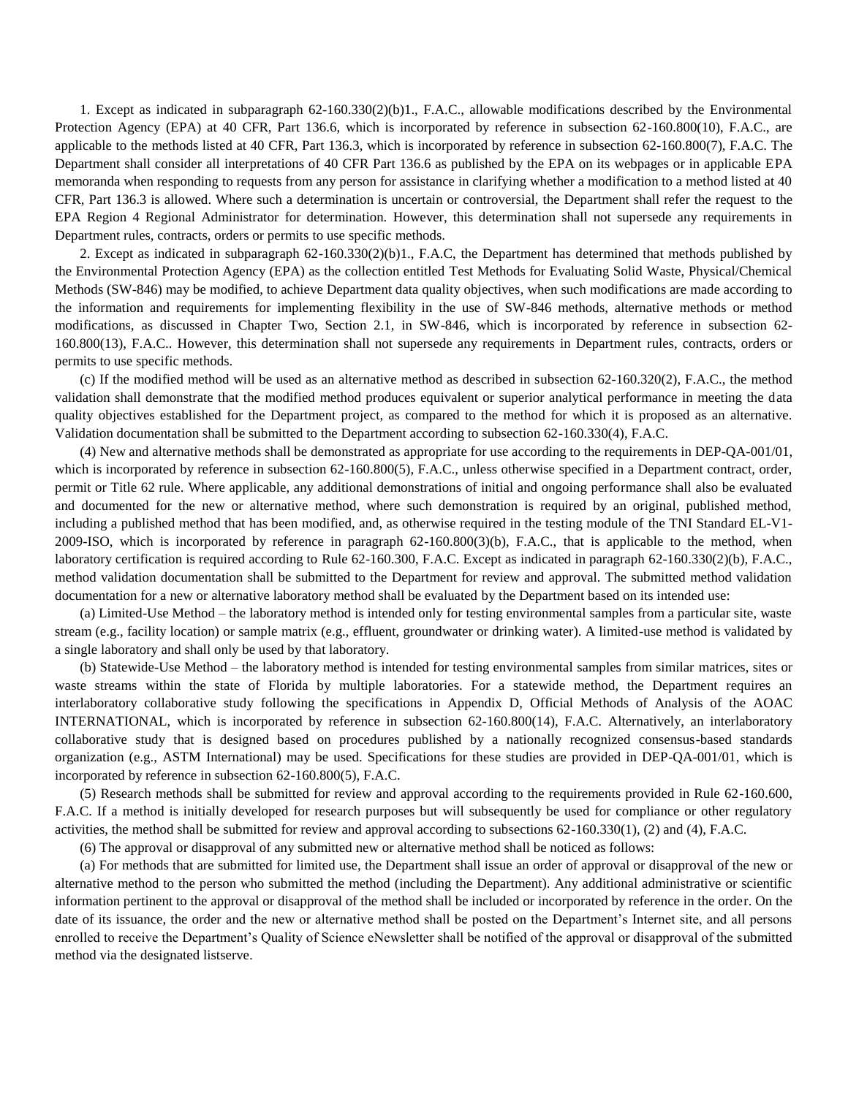1. Except as indicated in subparagraph 62-160.330(2)(b)1., F.A.C., allowable modifications described by the Environmental Protection Agency (EPA) at 40 CFR, Part 136.6, which is incorporated by reference in subsection 62-160.800(10), F.A.C., are applicable to the methods listed at 40 CFR, Part 136.3, which is incorporated by reference in subsection 62-160.800(7), F.A.C. The Department shall consider all interpretations of 40 CFR Part 136.6 as published by the EPA on its webpages or in applicable EPA memoranda when responding to requests from any person for assistance in clarifying whether a modification to a method listed at 40 CFR, Part 136.3 is allowed. Where such a determination is uncertain or controversial, the Department shall refer the request to the EPA Region 4 Regional Administrator for determination. However, this determination shall not supersede any requirements in Department rules, contracts, orders or permits to use specific methods.

2. Except as indicated in subparagraph 62-160.330(2)(b)1., F.A.C, the Department has determined that methods published by the Environmental Protection Agency (EPA) as the collection entitled Test Methods for Evaluating Solid Waste, Physical/Chemical Methods (SW-846) may be modified, to achieve Department data quality objectives, when such modifications are made according to the information and requirements for implementing flexibility in the use of SW-846 methods, alternative methods or method modifications, as discussed in Chapter Two, Section 2.1, in SW-846, which is incorporated by reference in subsection 62- 160.800(13), F.A.C.. However, this determination shall not supersede any requirements in Department rules, contracts, orders or permits to use specific methods.

(c) If the modified method will be used as an alternative method as described in subsection 62-160.320(2), F.A.C., the method validation shall demonstrate that the modified method produces equivalent or superior analytical performance in meeting the data quality objectives established for the Department project, as compared to the method for which it is proposed as an alternative. Validation documentation shall be submitted to the Department according to subsection 62-160.330(4), F.A.C.

(4) New and alternative methods shall be demonstrated as appropriate for use according to the requirements in DEP-QA-001/01, which is incorporated by reference in subsection 62-160.800(5), F.A.C., unless otherwise specified in a Department contract, order, permit or Title 62 rule. Where applicable, any additional demonstrations of initial and ongoing performance shall also be evaluated and documented for the new or alternative method, where such demonstration is required by an original, published method, including a published method that has been modified, and, as otherwise required in the testing module of the TNI Standard EL-V1- 2009-ISO, which is incorporated by reference in paragraph 62-160.800(3)(b), F.A.C., that is applicable to the method, when laboratory certification is required according to Rule 62-160.300, F.A.C. Except as indicated in paragraph 62-160.330(2)(b), F.A.C., method validation documentation shall be submitted to the Department for review and approval. The submitted method validation documentation for a new or alternative laboratory method shall be evaluated by the Department based on its intended use:

(a) Limited-Use Method – the laboratory method is intended only for testing environmental samples from a particular site, waste stream (e.g., facility location) or sample matrix (e.g., effluent, groundwater or drinking water). A limited-use method is validated by a single laboratory and shall only be used by that laboratory.

(b) Statewide-Use Method – the laboratory method is intended for testing environmental samples from similar matrices, sites or waste streams within the state of Florida by multiple laboratories. For a statewide method, the Department requires an interlaboratory collaborative study following the specifications in Appendix D, Official Methods of Analysis of the AOAC INTERNATIONAL, which is incorporated by reference in subsection 62-160.800(14), F.A.C. Alternatively, an interlaboratory collaborative study that is designed based on procedures published by a nationally recognized consensus-based standards organization (e.g., ASTM International) may be used. Specifications for these studies are provided in DEP-QA-001/01, which is incorporated by reference in subsection 62-160.800(5), F.A.C.

(5) Research methods shall be submitted for review and approval according to the requirements provided in Rule 62-160.600, F.A.C. If a method is initially developed for research purposes but will subsequently be used for compliance or other regulatory activities, the method shall be submitted for review and approval according to subsections 62-160.330(1), (2) and (4), F.A.C.

(6) The approval or disapproval of any submitted new or alternative method shall be noticed as follows:

(a) For methods that are submitted for limited use, the Department shall issue an order of approval or disapproval of the new or alternative method to the person who submitted the method (including the Department). Any additional administrative or scientific information pertinent to the approval or disapproval of the method shall be included or incorporated by reference in the order. On the date of its issuance, the order and the new or alternative method shall be posted on the Department's Internet site, and all persons enrolled to receive the Department's Quality of Science eNewsletter shall be notified of the approval or disapproval of the submitted method via the designated listserve.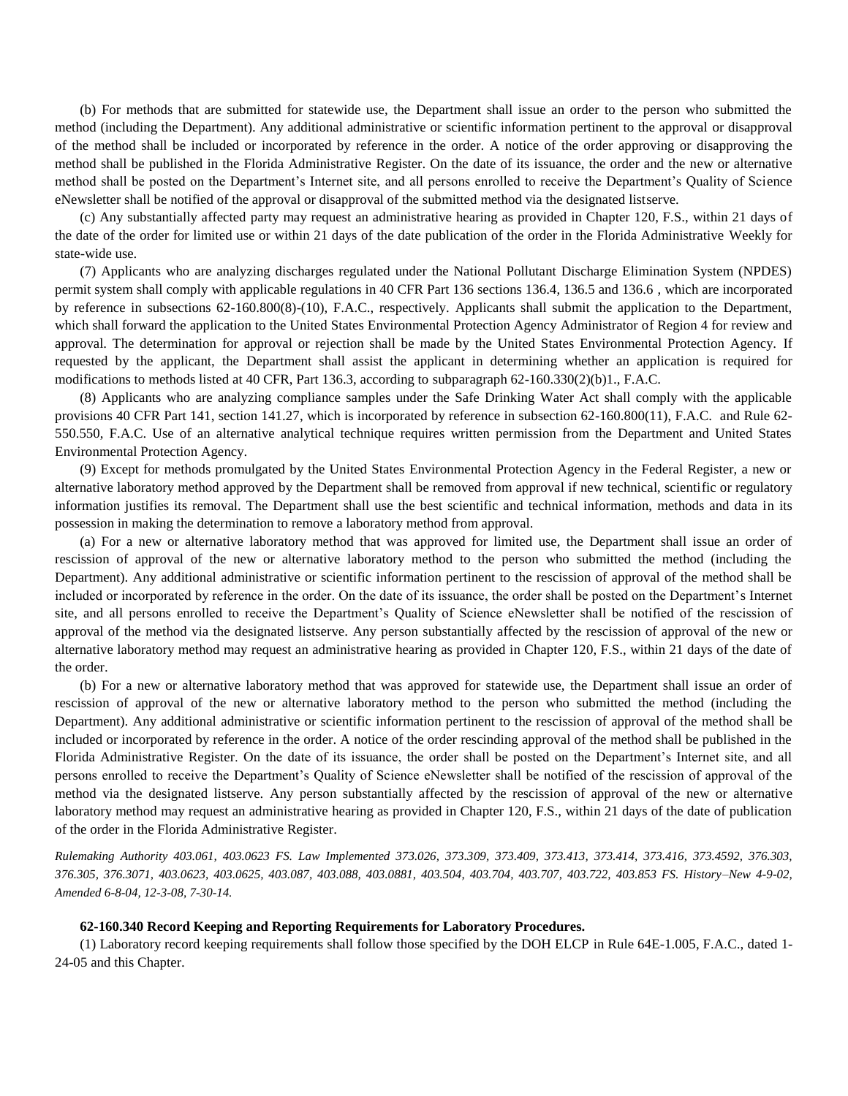(b) For methods that are submitted for statewide use, the Department shall issue an order to the person who submitted the method (including the Department). Any additional administrative or scientific information pertinent to the approval or disapproval of the method shall be included or incorporated by reference in the order. A notice of the order approving or disapproving the method shall be published in the Florida Administrative Register. On the date of its issuance, the order and the new or alternative method shall be posted on the Department's Internet site, and all persons enrolled to receive the Department's Quality of Science eNewsletter shall be notified of the approval or disapproval of the submitted method via the designated listserve.

(c) Any substantially affected party may request an administrative hearing as provided in Chapter 120, F.S., within 21 days of the date of the order for limited use or within 21 days of the date publication of the order in the Florida Administrative Weekly for state-wide use.

(7) Applicants who are analyzing discharges regulated under the National Pollutant Discharge Elimination System (NPDES) permit system shall comply with applicable regulations in 40 CFR Part 136 sections 136.4, 136.5 and 136.6 , which are incorporated by reference in subsections 62-160.800(8)-(10), F.A.C., respectively. Applicants shall submit the application to the Department, which shall forward the application to the United States Environmental Protection Agency Administrator of Region 4 for review and approval. The determination for approval or rejection shall be made by the United States Environmental Protection Agency. If requested by the applicant, the Department shall assist the applicant in determining whether an application is required for modifications to methods listed at 40 CFR, Part 136.3, according to subparagraph 62-160.330(2)(b)1., F.A.C.

(8) Applicants who are analyzing compliance samples under the Safe Drinking Water Act shall comply with the applicable provisions 40 CFR Part 141, section 141.27, which is incorporated by reference in subsection 62-160.800(11), F.A.C. and Rule 62- 550.550, F.A.C. Use of an alternative analytical technique requires written permission from the Department and United States Environmental Protection Agency.

(9) Except for methods promulgated by the United States Environmental Protection Agency in the Federal Register, a new or alternative laboratory method approved by the Department shall be removed from approval if new technical, scientific or regulatory information justifies its removal. The Department shall use the best scientific and technical information, methods and data in its possession in making the determination to remove a laboratory method from approval.

(a) For a new or alternative laboratory method that was approved for limited use, the Department shall issue an order of rescission of approval of the new or alternative laboratory method to the person who submitted the method (including the Department). Any additional administrative or scientific information pertinent to the rescission of approval of the method shall be included or incorporated by reference in the order. On the date of its issuance, the order shall be posted on the Department's Internet site, and all persons enrolled to receive the Department's Quality of Science eNewsletter shall be notified of the rescission of approval of the method via the designated listserve. Any person substantially affected by the rescission of approval of the new or alternative laboratory method may request an administrative hearing as provided in Chapter 120, F.S., within 21 days of the date of the order.

(b) For a new or alternative laboratory method that was approved for statewide use, the Department shall issue an order of rescission of approval of the new or alternative laboratory method to the person who submitted the method (including the Department). Any additional administrative or scientific information pertinent to the rescission of approval of the method shall be included or incorporated by reference in the order. A notice of the order rescinding approval of the method shall be published in the Florida Administrative Register. On the date of its issuance, the order shall be posted on the Department's Internet site, and all persons enrolled to receive the Department's Quality of Science eNewsletter shall be notified of the rescission of approval of the method via the designated listserve. Any person substantially affected by the rescission of approval of the new or alternative laboratory method may request an administrative hearing as provided in Chapter 120, F.S., within 21 days of the date of publication of the order in the Florida Administrative Register.

*Rulemaking Authority 403.061, 403.0623 FS. Law Implemented 373.026, 373.309, 373.409, 373.413, 373.414, 373.416, 373.4592, 376.303, 376.305, 376.3071, 403.0623, 403.0625, 403.087, 403.088, 403.0881, 403.504, 403.704, 403.707, 403.722, 403.853 FS. History–New 4-9-02, Amended 6-8-04, 12-3-08, 7-30-14.* 

# **62-160.340 Record Keeping and Reporting Requirements for Laboratory Procedures.**

(1) Laboratory record keeping requirements shall follow those specified by the DOH ELCP in Rule 64E-1.005, F.A.C., dated 1- 24-05 and this Chapter.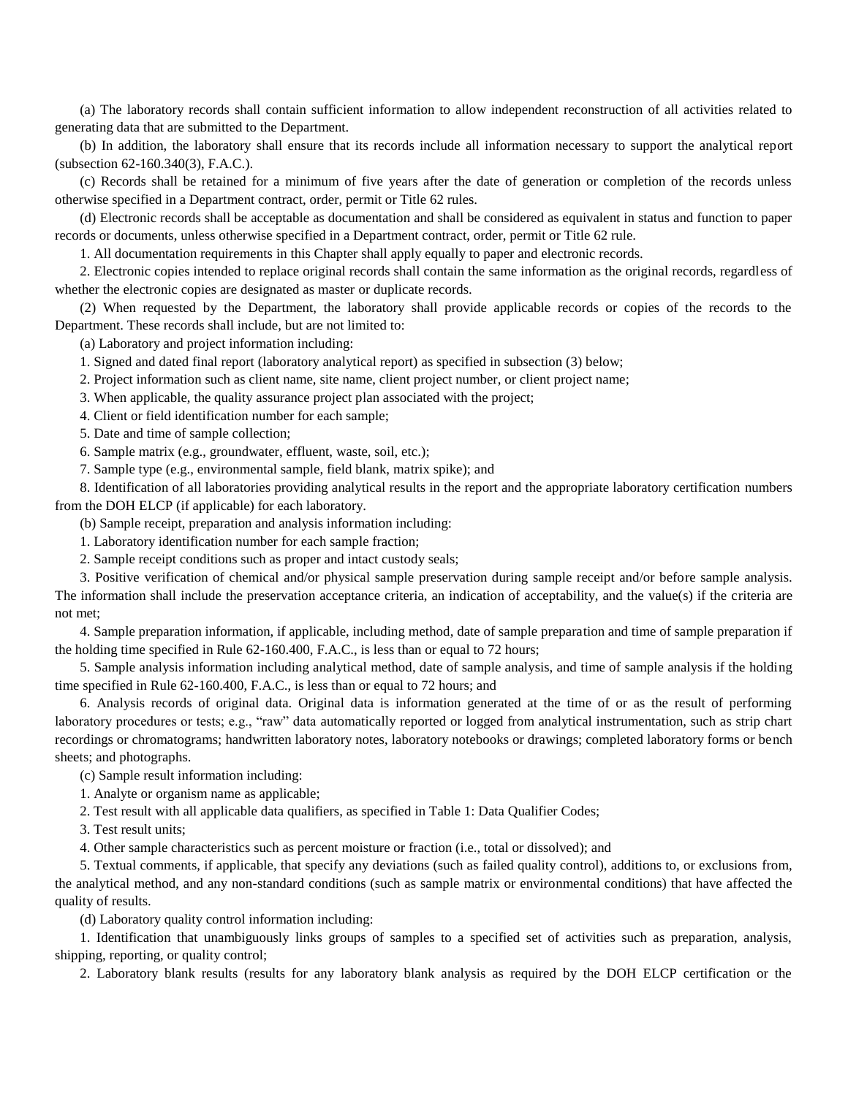(a) The laboratory records shall contain sufficient information to allow independent reconstruction of all activities related to generating data that are submitted to the Department.

(b) In addition, the laboratory shall ensure that its records include all information necessary to support the analytical report (subsection 62-160.340(3), F.A.C.).

(c) Records shall be retained for a minimum of five years after the date of generation or completion of the records unless otherwise specified in a Department contract, order, permit or Title 62 rules.

(d) Electronic records shall be acceptable as documentation and shall be considered as equivalent in status and function to paper records or documents, unless otherwise specified in a Department contract, order, permit or Title 62 rule.

1. All documentation requirements in this Chapter shall apply equally to paper and electronic records.

2. Electronic copies intended to replace original records shall contain the same information as the original records, regardless of whether the electronic copies are designated as master or duplicate records.

(2) When requested by the Department, the laboratory shall provide applicable records or copies of the records to the Department. These records shall include, but are not limited to:

(a) Laboratory and project information including:

1. Signed and dated final report (laboratory analytical report) as specified in subsection (3) below;

2. Project information such as client name, site name, client project number, or client project name;

3. When applicable, the quality assurance project plan associated with the project;

4. Client or field identification number for each sample;

5. Date and time of sample collection;

6. Sample matrix (e.g., groundwater, effluent, waste, soil, etc.);

7. Sample type (e.g., environmental sample, field blank, matrix spike); and

8. Identification of all laboratories providing analytical results in the report and the appropriate laboratory certification numbers from the DOH ELCP (if applicable) for each laboratory.

(b) Sample receipt, preparation and analysis information including:

1. Laboratory identification number for each sample fraction;

2. Sample receipt conditions such as proper and intact custody seals;

3. Positive verification of chemical and/or physical sample preservation during sample receipt and/or before sample analysis. The information shall include the preservation acceptance criteria, an indication of acceptability, and the value(s) if the criteria are not met;

4. Sample preparation information, if applicable, including method, date of sample preparation and time of sample preparation if the holding time specified in Rule 62-160.400, F.A.C., is less than or equal to 72 hours;

5. Sample analysis information including analytical method, date of sample analysis, and time of sample analysis if the holding time specified in Rule 62-160.400, F.A.C., is less than or equal to 72 hours; and

6. Analysis records of original data. Original data is information generated at the time of or as the result of performing laboratory procedures or tests; e.g., "raw" data automatically reported or logged from analytical instrumentation, such as strip chart recordings or chromatograms; handwritten laboratory notes, laboratory notebooks or drawings; completed laboratory forms or bench sheets; and photographs.

(c) Sample result information including:

1. Analyte or organism name as applicable;

2. Test result with all applicable data qualifiers, as specified in Table 1: Data Qualifier Codes;

3. Test result units;

4. Other sample characteristics such as percent moisture or fraction (i.e., total or dissolved); and

5. Textual comments, if applicable, that specify any deviations (such as failed quality control), additions to, or exclusions from, the analytical method, and any non-standard conditions (such as sample matrix or environmental conditions) that have affected the quality of results.

(d) Laboratory quality control information including:

1. Identification that unambiguously links groups of samples to a specified set of activities such as preparation, analysis, shipping, reporting, or quality control;

2. Laboratory blank results (results for any laboratory blank analysis as required by the DOH ELCP certification or the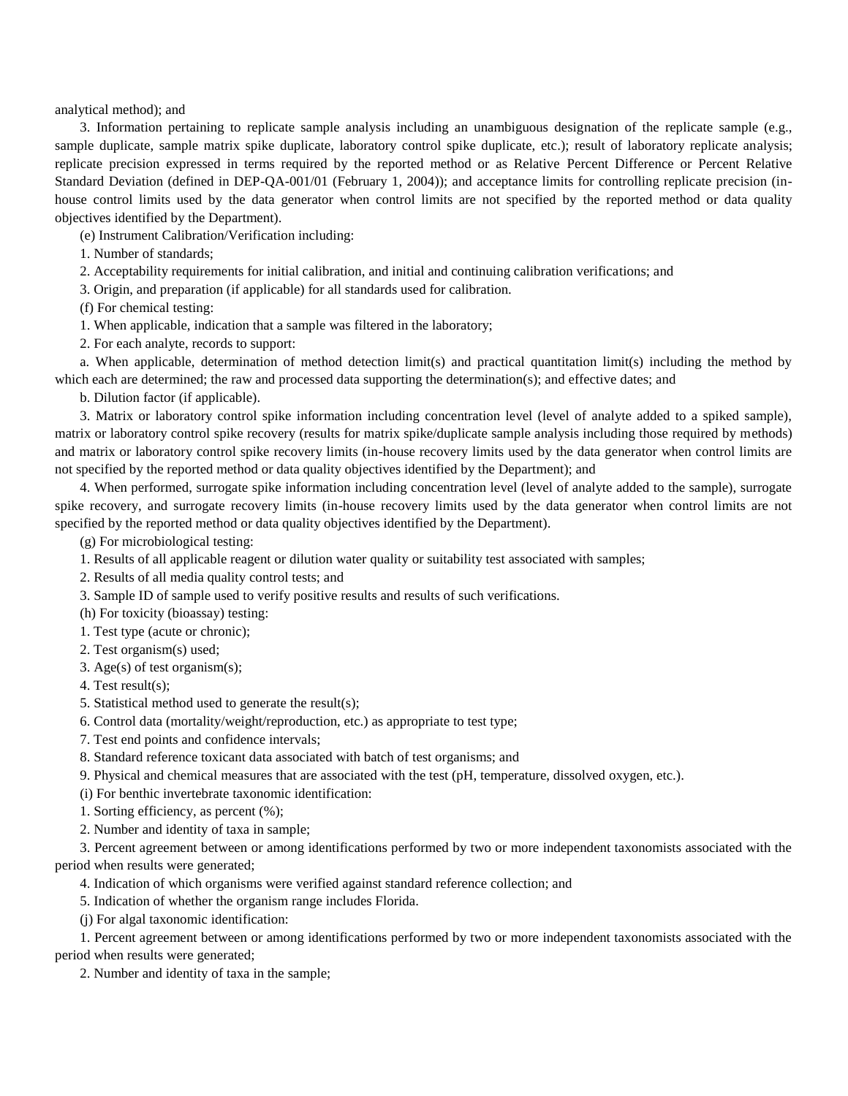analytical method); and

3. Information pertaining to replicate sample analysis including an unambiguous designation of the replicate sample (e.g., sample duplicate, sample matrix spike duplicate, laboratory control spike duplicate, etc.); result of laboratory replicate analysis; replicate precision expressed in terms required by the reported method or as Relative Percent Difference or Percent Relative Standard Deviation (defined in DEP-QA-001/01 (February 1, 2004)); and acceptance limits for controlling replicate precision (inhouse control limits used by the data generator when control limits are not specified by the reported method or data quality objectives identified by the Department).

(e) Instrument Calibration/Verification including:

1. Number of standards;

2. Acceptability requirements for initial calibration, and initial and continuing calibration verifications; and

3. Origin, and preparation (if applicable) for all standards used for calibration.

(f) For chemical testing:

1. When applicable, indication that a sample was filtered in the laboratory;

2. For each analyte, records to support:

a. When applicable, determination of method detection limit(s) and practical quantitation limit(s) including the method by which each are determined; the raw and processed data supporting the determination(s); and effective dates; and

b. Dilution factor (if applicable).

3. Matrix or laboratory control spike information including concentration level (level of analyte added to a spiked sample), matrix or laboratory control spike recovery (results for matrix spike/duplicate sample analysis including those required by methods) and matrix or laboratory control spike recovery limits (in-house recovery limits used by the data generator when control limits are not specified by the reported method or data quality objectives identified by the Department); and

4. When performed, surrogate spike information including concentration level (level of analyte added to the sample), surrogate spike recovery, and surrogate recovery limits (in-house recovery limits used by the data generator when control limits are not specified by the reported method or data quality objectives identified by the Department).

(g) For microbiological testing:

1. Results of all applicable reagent or dilution water quality or suitability test associated with samples;

2. Results of all media quality control tests; and

3. Sample ID of sample used to verify positive results and results of such verifications.

(h) For toxicity (bioassay) testing:

1. Test type (acute or chronic);

2. Test organism(s) used;

3. Age(s) of test organism(s);

4. Test result(s);

5. Statistical method used to generate the result(s);

6. Control data (mortality/weight/reproduction, etc.) as appropriate to test type;

7. Test end points and confidence intervals;

8. Standard reference toxicant data associated with batch of test organisms; and

9. Physical and chemical measures that are associated with the test (pH, temperature, dissolved oxygen, etc.).

(i) For benthic invertebrate taxonomic identification:

1. Sorting efficiency, as percent (%);

2. Number and identity of taxa in sample;

3. Percent agreement between or among identifications performed by two or more independent taxonomists associated with the period when results were generated;

4. Indication of which organisms were verified against standard reference collection; and

5. Indication of whether the organism range includes Florida.

(j) For algal taxonomic identification:

1. Percent agreement between or among identifications performed by two or more independent taxonomists associated with the

period when results were generated;

2. Number and identity of taxa in the sample;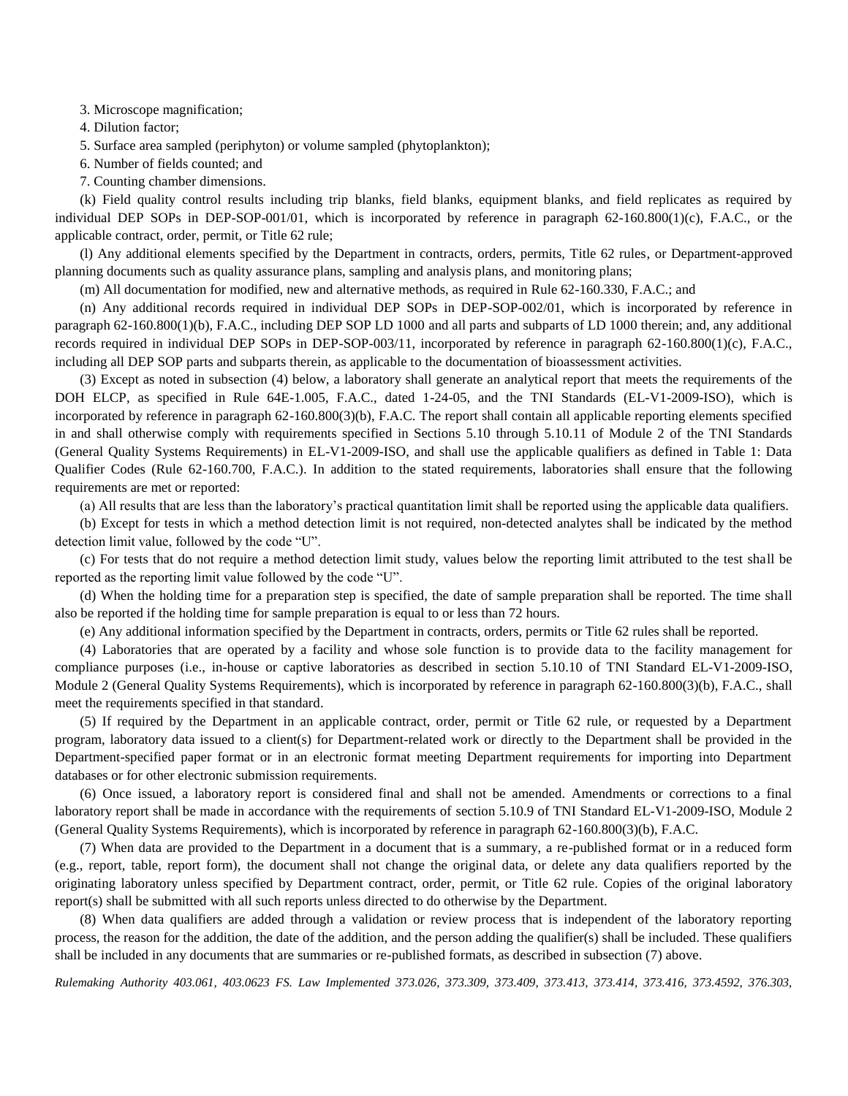3. Microscope magnification;

4. Dilution factor;

5. Surface area sampled (periphyton) or volume sampled (phytoplankton);

6. Number of fields counted; and

7. Counting chamber dimensions.

(k) Field quality control results including trip blanks, field blanks, equipment blanks, and field replicates as required by individual DEP SOPs in DEP-SOP-001/01, which is incorporated by reference in paragraph 62-160.800(1)(c), F.A.C., or the applicable contract, order, permit, or Title 62 rule;

(l) Any additional elements specified by the Department in contracts, orders, permits, Title 62 rules, or Department-approved planning documents such as quality assurance plans, sampling and analysis plans, and monitoring plans;

(m) All documentation for modified, new and alternative methods, as required in Rule 62-160.330, F.A.C.; and

(n) Any additional records required in individual DEP SOPs in DEP-SOP-002/01, which is incorporated by reference in paragraph 62-160.800(1)(b), F.A.C., including DEP SOP LD 1000 and all parts and subparts of LD 1000 therein; and, any additional records required in individual DEP SOPs in DEP-SOP-003/11, incorporated by reference in paragraph 62-160.800(1)(c), F.A.C., including all DEP SOP parts and subparts therein, as applicable to the documentation of bioassessment activities.

(3) Except as noted in subsection (4) below, a laboratory shall generate an analytical report that meets the requirements of the DOH ELCP, as specified in Rule 64E-1.005, F.A.C., dated 1-24-05, and the TNI Standards (EL-V1-2009-ISO), which is incorporated by reference in paragraph 62-160.800(3)(b), F.A.C. The report shall contain all applicable reporting elements specified in and shall otherwise comply with requirements specified in Sections 5.10 through 5.10.11 of Module 2 of the TNI Standards (General Quality Systems Requirements) in EL-V1-2009-ISO, and shall use the applicable qualifiers as defined in Table 1: Data Qualifier Codes (Rule 62-160.700, F.A.C.). In addition to the stated requirements, laboratories shall ensure that the following requirements are met or reported:

(a) All results that are less than the laboratory's practical quantitation limit shall be reported using the applicable data qualifiers.

(b) Except for tests in which a method detection limit is not required, non-detected analytes shall be indicated by the method detection limit value, followed by the code "U".

(c) For tests that do not require a method detection limit study, values below the reporting limit attributed to the test shall be reported as the reporting limit value followed by the code "U".

(d) When the holding time for a preparation step is specified, the date of sample preparation shall be reported. The time shall also be reported if the holding time for sample preparation is equal to or less than 72 hours.

(e) Any additional information specified by the Department in contracts, orders, permits or Title 62 rules shall be reported.

(4) Laboratories that are operated by a facility and whose sole function is to provide data to the facility management for compliance purposes (i.e., in-house or captive laboratories as described in section 5.10.10 of TNI Standard EL-V1-2009-ISO, Module 2 (General Quality Systems Requirements), which is incorporated by reference in paragraph 62-160.800(3)(b), F.A.C., shall meet the requirements specified in that standard.

(5) If required by the Department in an applicable contract, order, permit or Title 62 rule, or requested by a Department program, laboratory data issued to a client(s) for Department-related work or directly to the Department shall be provided in the Department-specified paper format or in an electronic format meeting Department requirements for importing into Department databases or for other electronic submission requirements.

(6) Once issued, a laboratory report is considered final and shall not be amended. Amendments or corrections to a final laboratory report shall be made in accordance with the requirements of section 5.10.9 of TNI Standard EL-V1-2009-ISO, Module 2 (General Quality Systems Requirements), which is incorporated by reference in paragraph 62-160.800(3)(b), F.A.C.

(7) When data are provided to the Department in a document that is a summary, a re-published format or in a reduced form (e.g., report, table, report form), the document shall not change the original data, or delete any data qualifiers reported by the originating laboratory unless specified by Department contract, order, permit, or Title 62 rule. Copies of the original laboratory report(s) shall be submitted with all such reports unless directed to do otherwise by the Department.

(8) When data qualifiers are added through a validation or review process that is independent of the laboratory reporting process, the reason for the addition, the date of the addition, and the person adding the qualifier(s) shall be included. These qualifiers shall be included in any documents that are summaries or re-published formats, as described in subsection (7) above.

*Rulemaking Authority 403.061, 403.0623 FS. Law Implemented 373.026, 373.309, 373.409, 373.413, 373.414, 373.416, 373.4592, 376.303,*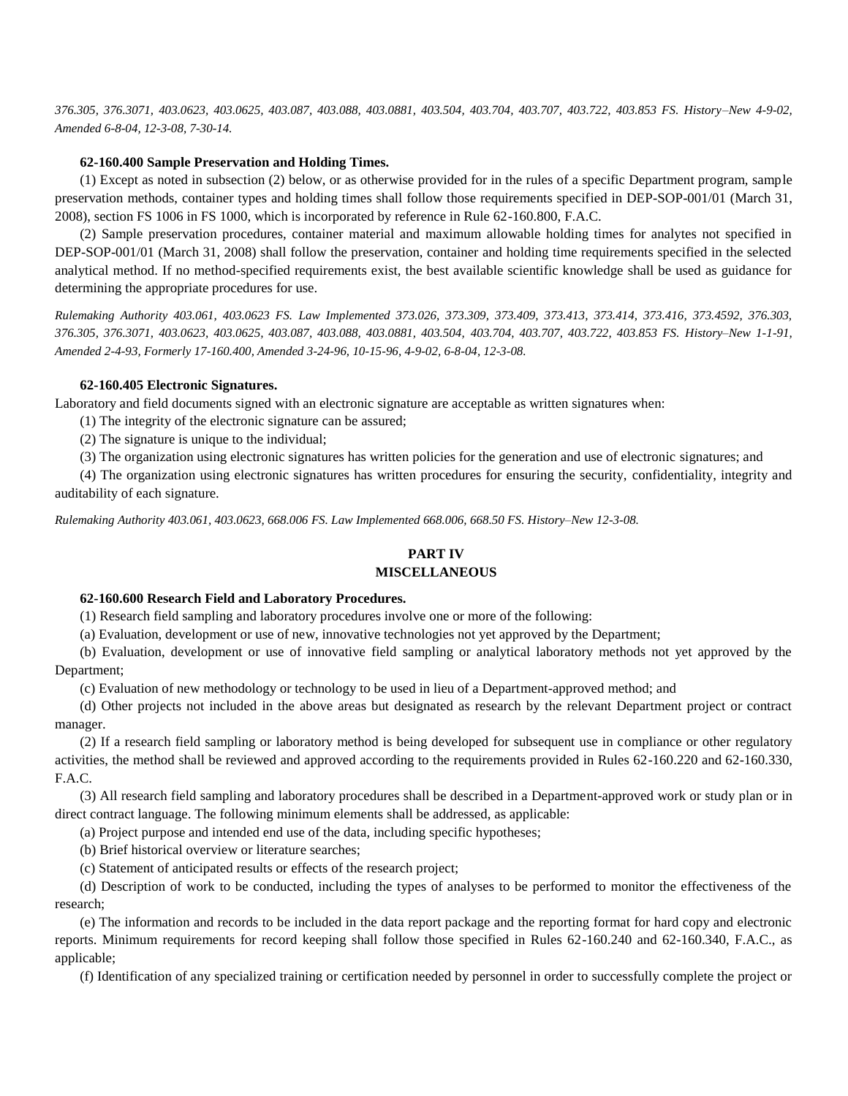*376.305, 376.3071, 403.0623, 403.0625, 403.087, 403.088, 403.0881, 403.504, 403.704, 403.707, 403.722, 403.853 FS. History–New 4-9-02, Amended 6-8-04, 12-3-08, 7-30-14.*

### **62-160.400 Sample Preservation and Holding Times.**

(1) Except as noted in subsection (2) below, or as otherwise provided for in the rules of a specific Department program, sample preservation methods, container types and holding times shall follow those requirements specified in DEP-SOP-001/01 (March 31, 2008), section FS 1006 in FS 1000, which is incorporated by reference in Rule 62-160.800, F.A.C.

(2) Sample preservation procedures, container material and maximum allowable holding times for analytes not specified in DEP-SOP-001/01 (March 31, 2008) shall follow the preservation, container and holding time requirements specified in the selected analytical method. If no method-specified requirements exist, the best available scientific knowledge shall be used as guidance for determining the appropriate procedures for use.

*Rulemaking Authority 403.061, 403.0623 FS. Law Implemented 373.026, 373.309, 373.409, 373.413, 373.414, 373.416, 373.4592, 376.303, 376.305, 376.3071, 403.0623, 403.0625, 403.087, 403.088, 403.0881, 403.504, 403.704, 403.707, 403.722, 403.853 FS. History–New 1-1-91, Amended 2-4-93, Formerly 17-160.400, Amended 3-24-96, 10-15-96, 4-9-02, 6-8-04, 12-3-08.*

### **62-160.405 Electronic Signatures.**

Laboratory and field documents signed with an electronic signature are acceptable as written signatures when:

(1) The integrity of the electronic signature can be assured;

(2) The signature is unique to the individual;

(3) The organization using electronic signatures has written policies for the generation and use of electronic signatures; and

(4) The organization using electronic signatures has written procedures for ensuring the security, confidentiality, integrity and auditability of each signature.

*Rulemaking Authority 403.061, 403.0623, 668.006 FS. Law Implemented 668.006, 668.50 FS. History–New 12-3-08.*

# **PART IV**

# **MISCELLANEOUS**

#### **62-160.600 Research Field and Laboratory Procedures.**

(1) Research field sampling and laboratory procedures involve one or more of the following:

(a) Evaluation, development or use of new, innovative technologies not yet approved by the Department;

(b) Evaluation, development or use of innovative field sampling or analytical laboratory methods not yet approved by the Department;

(c) Evaluation of new methodology or technology to be used in lieu of a Department-approved method; and

(d) Other projects not included in the above areas but designated as research by the relevant Department project or contract manager.

(2) If a research field sampling or laboratory method is being developed for subsequent use in compliance or other regulatory activities, the method shall be reviewed and approved according to the requirements provided in Rules 62-160.220 and 62-160.330, F.A.C.

(3) All research field sampling and laboratory procedures shall be described in a Department-approved work or study plan or in direct contract language. The following minimum elements shall be addressed, as applicable:

(a) Project purpose and intended end use of the data, including specific hypotheses;

(b) Brief historical overview or literature searches;

(c) Statement of anticipated results or effects of the research project;

(d) Description of work to be conducted, including the types of analyses to be performed to monitor the effectiveness of the research;

(e) The information and records to be included in the data report package and the reporting format for hard copy and electronic reports. Minimum requirements for record keeping shall follow those specified in Rules 62-160.240 and 62-160.340, F.A.C., as applicable;

(f) Identification of any specialized training or certification needed by personnel in order to successfully complete the project or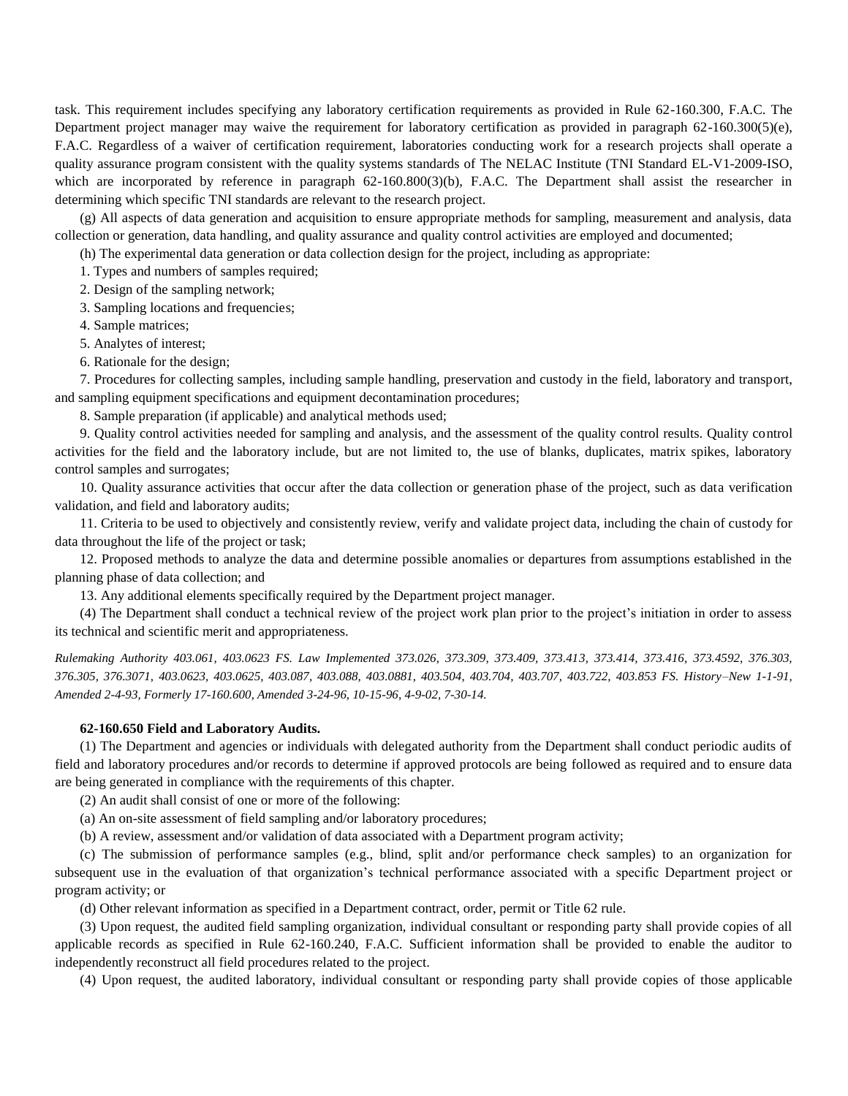task. This requirement includes specifying any laboratory certification requirements as provided in Rule 62-160.300, F.A.C. The Department project manager may waive the requirement for laboratory certification as provided in paragraph 62-160.300(5)(e), F.A.C. Regardless of a waiver of certification requirement, laboratories conducting work for a research projects shall operate a quality assurance program consistent with the quality systems standards of The NELAC Institute (TNI Standard EL-V1-2009-ISO, which are incorporated by reference in paragraph 62-160.800(3)(b), F.A.C. The Department shall assist the researcher in determining which specific TNI standards are relevant to the research project.

(g) All aspects of data generation and acquisition to ensure appropriate methods for sampling, measurement and analysis, data collection or generation, data handling, and quality assurance and quality control activities are employed and documented;

(h) The experimental data generation or data collection design for the project, including as appropriate:

1. Types and numbers of samples required;

2. Design of the sampling network;

3. Sampling locations and frequencies;

4. Sample matrices;

5. Analytes of interest;

6. Rationale for the design;

7. Procedures for collecting samples, including sample handling, preservation and custody in the field, laboratory and transport, and sampling equipment specifications and equipment decontamination procedures;

8. Sample preparation (if applicable) and analytical methods used;

9. Quality control activities needed for sampling and analysis, and the assessment of the quality control results. Quality control activities for the field and the laboratory include, but are not limited to, the use of blanks, duplicates, matrix spikes, laboratory control samples and surrogates;

10. Quality assurance activities that occur after the data collection or generation phase of the project, such as data verification validation, and field and laboratory audits;

11. Criteria to be used to objectively and consistently review, verify and validate project data, including the chain of custody for data throughout the life of the project or task;

12. Proposed methods to analyze the data and determine possible anomalies or departures from assumptions established in the planning phase of data collection; and

13. Any additional elements specifically required by the Department project manager.

(4) The Department shall conduct a technical review of the project work plan prior to the project's initiation in order to assess its technical and scientific merit and appropriateness.

*Rulemaking Authority 403.061, 403.0623 FS. Law Implemented 373.026, 373.309, 373.409, 373.413, 373.414, 373.416, 373.4592, 376.303, 376.305, 376.3071, 403.0623, 403.0625, 403.087, 403.088, 403.0881, 403.504, 403.704, 403.707, 403.722, 403.853 FS. History–New 1-1-91, Amended 2-4-93, Formerly 17-160.600, Amended 3-24-96, 10-15-96, 4-9-02, 7-30-14.*

### **62-160.650 Field and Laboratory Audits.**

(1) The Department and agencies or individuals with delegated authority from the Department shall conduct periodic audits of field and laboratory procedures and/or records to determine if approved protocols are being followed as required and to ensure data are being generated in compliance with the requirements of this chapter.

(2) An audit shall consist of one or more of the following:

(a) An on-site assessment of field sampling and/or laboratory procedures;

(b) A review, assessment and/or validation of data associated with a Department program activity;

(c) The submission of performance samples (e.g., blind, split and/or performance check samples) to an organization for subsequent use in the evaluation of that organization's technical performance associated with a specific Department project or program activity; or

(d) Other relevant information as specified in a Department contract, order, permit or Title 62 rule.

(3) Upon request, the audited field sampling organization, individual consultant or responding party shall provide copies of all applicable records as specified in Rule 62-160.240, F.A.C. Sufficient information shall be provided to enable the auditor to independently reconstruct all field procedures related to the project.

(4) Upon request, the audited laboratory, individual consultant or responding party shall provide copies of those applicable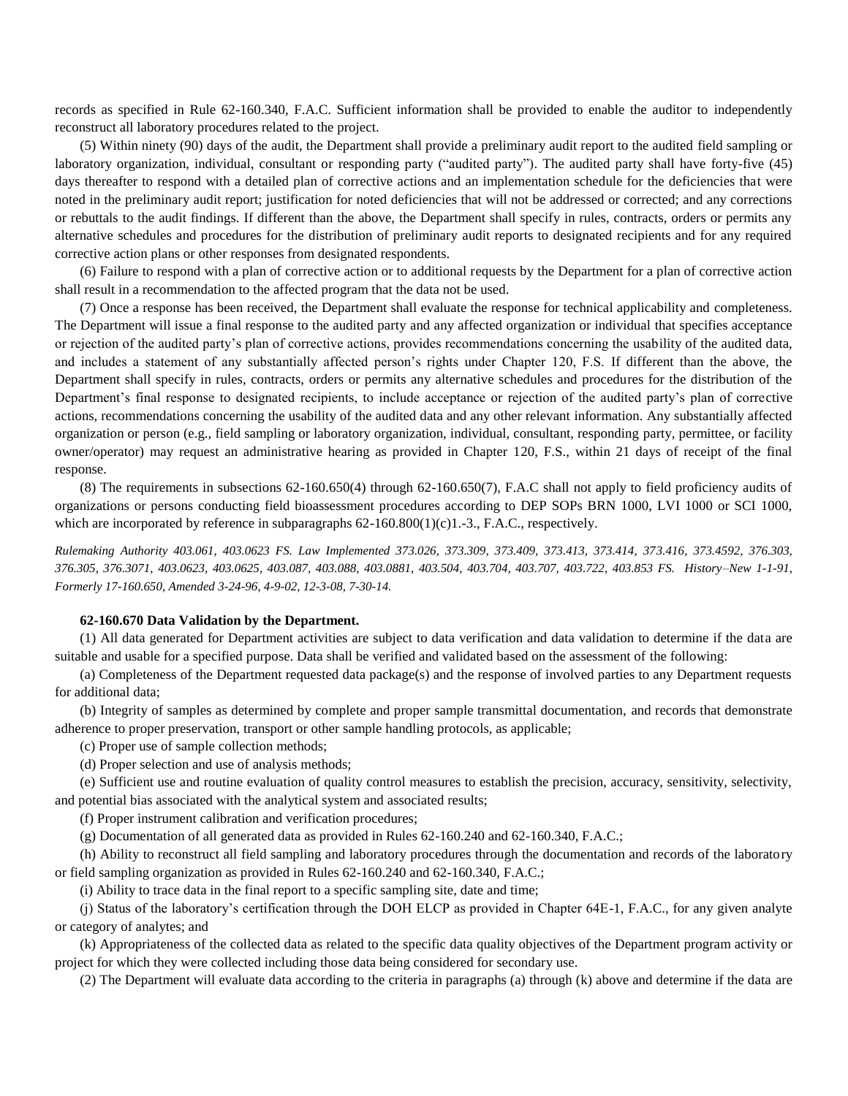records as specified in Rule 62-160.340, F.A.C. Sufficient information shall be provided to enable the auditor to independently reconstruct all laboratory procedures related to the project.

(5) Within ninety (90) days of the audit, the Department shall provide a preliminary audit report to the audited field sampling or laboratory organization, individual, consultant or responding party ("audited party"). The audited party shall have forty-five (45) days thereafter to respond with a detailed plan of corrective actions and an implementation schedule for the deficiencies that were noted in the preliminary audit report; justification for noted deficiencies that will not be addressed or corrected; and any corrections or rebuttals to the audit findings. If different than the above, the Department shall specify in rules, contracts, orders or permits any alternative schedules and procedures for the distribution of preliminary audit reports to designated recipients and for any required corrective action plans or other responses from designated respondents.

(6) Failure to respond with a plan of corrective action or to additional requests by the Department for a plan of corrective action shall result in a recommendation to the affected program that the data not be used.

(7) Once a response has been received, the Department shall evaluate the response for technical applicability and completeness. The Department will issue a final response to the audited party and any affected organization or individual that specifies acceptance or rejection of the audited party's plan of corrective actions, provides recommendations concerning the usability of the audited data, and includes a statement of any substantially affected person's rights under Chapter 120, F.S. If different than the above, the Department shall specify in rules, contracts, orders or permits any alternative schedules and procedures for the distribution of the Department's final response to designated recipients, to include acceptance or rejection of the audited party's plan of corrective actions, recommendations concerning the usability of the audited data and any other relevant information. Any substantially affected organization or person (e.g., field sampling or laboratory organization, individual, consultant, responding party, permittee, or facility owner/operator) may request an administrative hearing as provided in Chapter 120, F.S., within 21 days of receipt of the final response.

(8) The requirements in subsections 62-160.650(4) through 62-160.650(7), F.A.C shall not apply to field proficiency audits of organizations or persons conducting field bioassessment procedures according to DEP SOPs BRN 1000, LVI 1000 or SCI 1000, which are incorporated by reference in subparagraphs  $62-160.800(1)(c)1.-3$ , F.A.C., respectively.

*Rulemaking Authority 403.061, 403.0623 FS. Law Implemented 373.026, 373.309, 373.409, 373.413, 373.414, 373.416, 373.4592, 376.303, 376.305, 376.3071, 403.0623, 403.0625, 403.087, 403.088, 403.0881, 403.504, 403.704, 403.707, 403.722, 403.853 FS. History–New 1-1-91, Formerly 17-160.650, Amended 3-24-96, 4-9-02, 12-3-08, 7-30-14.*

#### **62-160.670 Data Validation by the Department.**

(1) All data generated for Department activities are subject to data verification and data validation to determine if the data are suitable and usable for a specified purpose. Data shall be verified and validated based on the assessment of the following:

(a) Completeness of the Department requested data package(s) and the response of involved parties to any Department requests for additional data;

(b) Integrity of samples as determined by complete and proper sample transmittal documentation, and records that demonstrate adherence to proper preservation, transport or other sample handling protocols, as applicable;

(c) Proper use of sample collection methods;

(d) Proper selection and use of analysis methods;

(e) Sufficient use and routine evaluation of quality control measures to establish the precision, accuracy, sensitivity, selectivity, and potential bias associated with the analytical system and associated results;

(f) Proper instrument calibration and verification procedures;

(g) Documentation of all generated data as provided in Rules 62-160.240 and 62-160.340, F.A.C.;

(h) Ability to reconstruct all field sampling and laboratory procedures through the documentation and records of the laboratory or field sampling organization as provided in Rules 62-160.240 and 62-160.340, F.A.C.;

(i) Ability to trace data in the final report to a specific sampling site, date and time;

(j) Status of the laboratory's certification through the DOH ELCP as provided in Chapter 64E-1, F.A.C., for any given analyte or category of analytes; and

(k) Appropriateness of the collected data as related to the specific data quality objectives of the Department program activity or project for which they were collected including those data being considered for secondary use.

(2) The Department will evaluate data according to the criteria in paragraphs (a) through (k) above and determine if the data are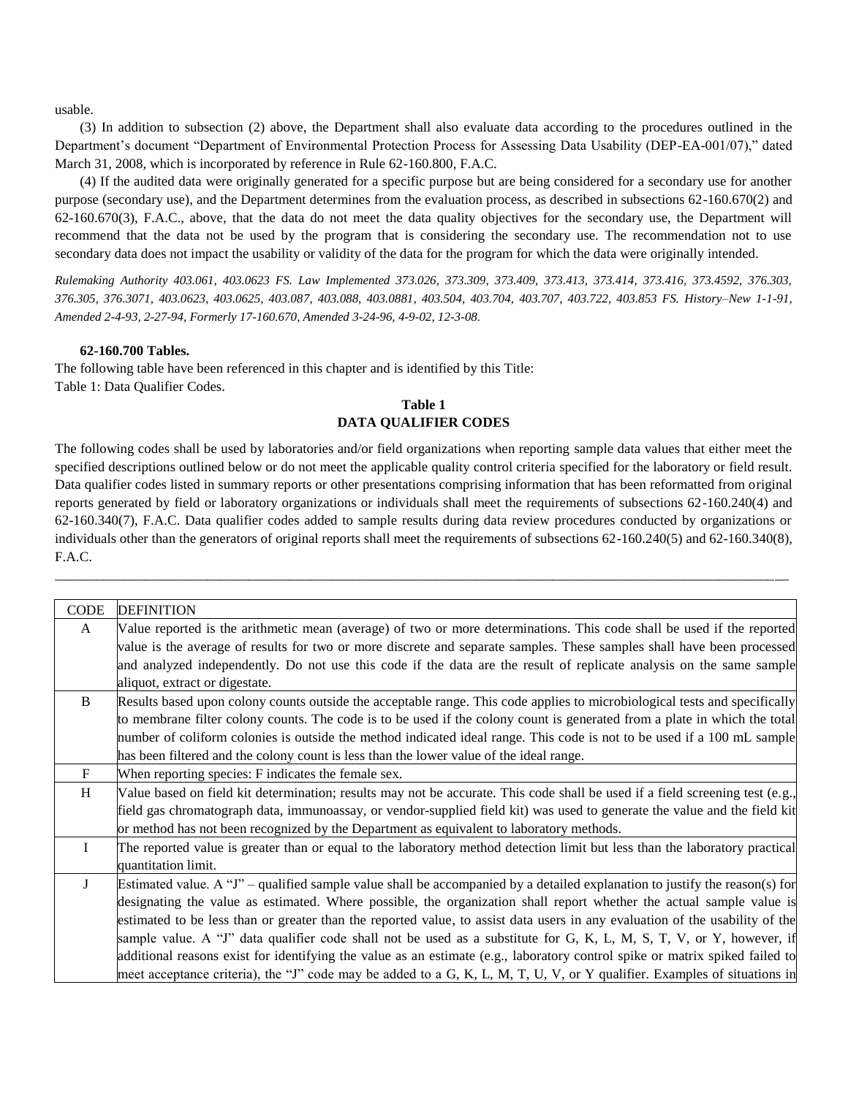usable.

(3) In addition to subsection (2) above, the Department shall also evaluate data according to the procedures outlined in the Department's document "Department of Environmental Protection Process for Assessing Data Usability (DEP-EA-001/07)," dated March 31, 2008, which is incorporated by reference in Rule 62-160.800, F.A.C.

(4) If the audited data were originally generated for a specific purpose but are being considered for a secondary use for another purpose (secondary use), and the Department determines from the evaluation process, as described in subsections 62-160.670(2) and 62-160.670(3), F.A.C., above, that the data do not meet the data quality objectives for the secondary use, the Department will recommend that the data not be used by the program that is considering the secondary use. The recommendation not to use secondary data does not impact the usability or validity of the data for the program for which the data were originally intended.

*Rulemaking Authority 403.061, 403.0623 FS. Law Implemented 373.026, 373.309, 373.409, 373.413, 373.414, 373.416, 373.4592, 376.303, 376.305, 376.3071, 403.0623, 403.0625, 403.087, 403.088, 403.0881, 403.504, 403.704, 403.707, 403.722, 403.853 FS. History–New 1-1-91, Amended 2-4-93, 2-27-94, Formerly 17-160.670, Amended 3-24-96, 4-9-02, 12-3-08.*

# **62-160.700 Tables.**

The following table have been referenced in this chapter and is identified by this Title: Table 1: Data Qualifier Codes.

# **Table 1 DATA QUALIFIER CODES**

The following codes shall be used by laboratories and/or field organizations when reporting sample data values that either meet the specified descriptions outlined below or do not meet the applicable quality control criteria specified for the laboratory or field result. Data qualifier codes listed in summary reports or other presentations comprising information that has been reformatted from original reports generated by field or laboratory organizations or individuals shall meet the requirements of subsections 62-160.240(4) and 62-160.340(7), F.A.C. Data qualifier codes added to sample results during data review procedures conducted by organizations or individuals other than the generators of original reports shall meet the requirements of subsections 62-160.240(5) and 62-160.340(8), F.A.C.

\_\_\_\_\_\_\_\_\_\_\_\_\_\_\_\_\_\_\_\_\_\_\_\_\_\_\_\_\_\_\_\_\_\_\_\_\_\_\_\_\_\_\_\_\_\_\_\_\_\_\_\_\_\_\_\_\_\_\_\_\_\_\_\_\_\_\_\_\_\_\_\_\_\_\_\_\_\_\_\_\_\_\_\_\_\_\_\_\_\_\_\_\_\_\_\_\_\_\_\_\_\_\_\_\_\_

| <b>CODE</b>  | <b>DEFINITION</b>                                                                                                             |
|--------------|-------------------------------------------------------------------------------------------------------------------------------|
| A            | Value reported is the arithmetic mean (average) of two or more determinations. This code shall be used if the reported        |
|              | value is the average of results for two or more discrete and separate samples. These samples shall have been processed        |
|              | and analyzed independently. Do not use this code if the data are the result of replicate analysis on the same sample          |
|              | aliquot, extract or digestate.                                                                                                |
| B            | Results based upon colony counts outside the acceptable range. This code applies to microbiological tests and specifically    |
|              | to membrane filter colony counts. The code is to be used if the colony count is generated from a plate in which the total     |
|              | number of coliform colonies is outside the method indicated ideal range. This code is not to be used if a 100 mL sample       |
|              | has been filtered and the colony count is less than the lower value of the ideal range.                                       |
| $\mathbf{F}$ | When reporting species: F indicates the female sex.                                                                           |
| H            | Value based on field kit determination; results may not be accurate. This code shall be used if a field screening test (e.g., |
|              | field gas chromatograph data, immunoassay, or vendor-supplied field kit) was used to generate the value and the field kit     |
|              | or method has not been recognized by the Department as equivalent to laboratory methods.                                      |
| L            | The reported value is greater than or equal to the laboratory method detection limit but less than the laboratory practical   |
|              | quantitation limit.                                                                                                           |
| J            | Estimated value. A "J" – qualified sample value shall be accompanied by a detailed explanation to justify the reason(s) for   |
|              | designating the value as estimated. Where possible, the organization shall report whether the actual sample value is          |
|              | estimated to be less than or greater than the reported value, to assist data users in any evaluation of the usability of the  |
|              | sample value. A "J" data qualifier code shall not be used as a substitute for G, K, L, M, S, T, V, or Y, however, if          |
|              | additional reasons exist for identifying the value as an estimate (e.g., laboratory control spike or matrix spiked failed to  |
|              | meet acceptance criteria), the "J" code may be added to a G, K, L, M, T, U, V, or Y qualifier. Examples of situations in      |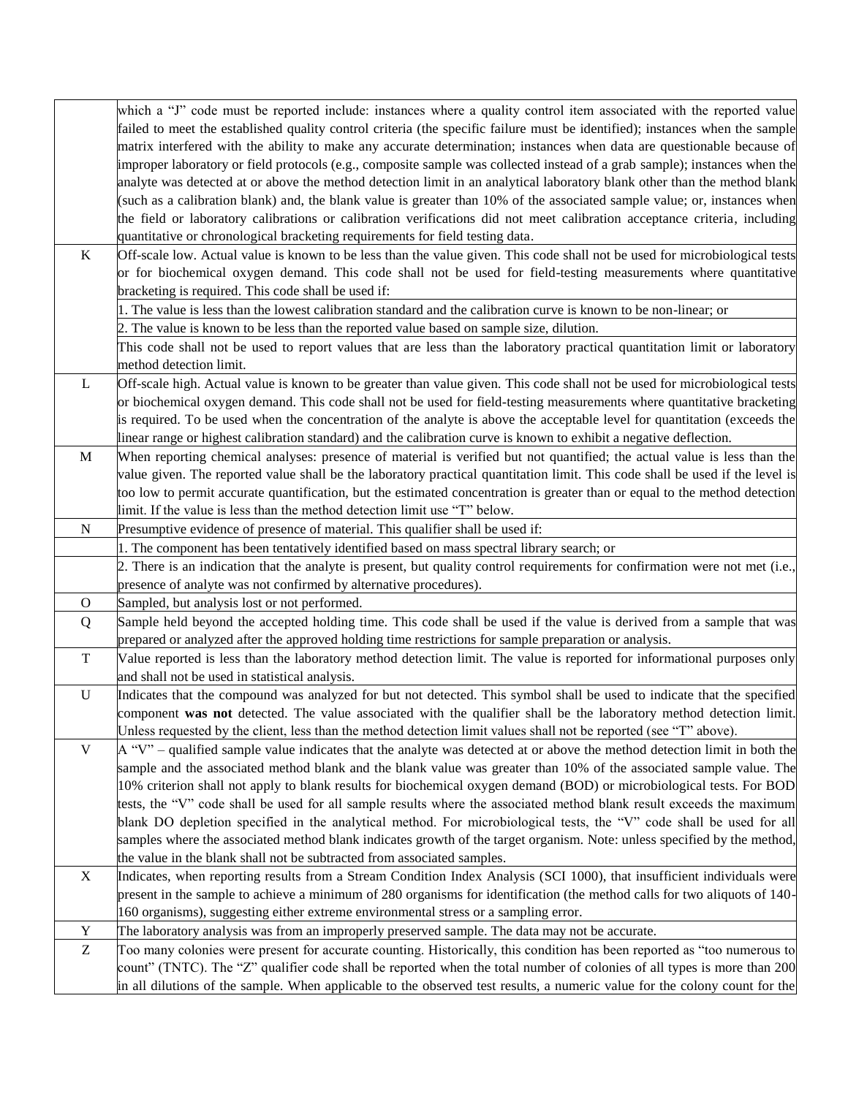|              | which a "J" code must be reported include: instances where a quality control item associated with the reported value          |
|--------------|-------------------------------------------------------------------------------------------------------------------------------|
|              | failed to meet the established quality control criteria (the specific failure must be identified); instances when the sample  |
|              | matrix interfered with the ability to make any accurate determination; instances when data are questionable because of        |
|              |                                                                                                                               |
|              | improper laboratory or field protocols (e.g., composite sample was collected instead of a grab sample); instances when the    |
|              | analyte was detected at or above the method detection limit in an analytical laboratory blank other than the method blank     |
|              | (such as a calibration blank) and, the blank value is greater than 10% of the associated sample value; or, instances when     |
|              | the field or laboratory calibrations or calibration verifications did not meet calibration acceptance criteria, including     |
|              | quantitative or chronological bracketing requirements for field testing data.                                                 |
| $\rm K$      | Off-scale low. Actual value is known to be less than the value given. This code shall not be used for microbiological tests   |
|              | or for biochemical oxygen demand. This code shall not be used for field-testing measurements where quantitative               |
|              | bracketing is required. This code shall be used if:                                                                           |
|              | . The value is less than the lowest calibration standard and the calibration curve is known to be non-linear; or              |
|              | 2. The value is known to be less than the reported value based on sample size, dilution.                                      |
|              | This code shall not be used to report values that are less than the laboratory practical quantitation limit or laboratory     |
|              | method detection limit.                                                                                                       |
| L            | Off-scale high. Actual value is known to be greater than value given. This code shall not be used for microbiological tests   |
|              | or biochemical oxygen demand. This code shall not be used for field-testing measurements where quantitative bracketing        |
|              | is required. To be used when the concentration of the analyte is above the acceptable level for quantitation (exceeds the     |
|              | linear range or highest calibration standard) and the calibration curve is known to exhibit a negative deflection.            |
| $\mathbf M$  | When reporting chemical analyses: presence of material is verified but not quantified; the actual value is less than the      |
|              | value given. The reported value shall be the laboratory practical quantitation limit. This code shall be used if the level is |
|              | too low to permit accurate quantification, but the estimated concentration is greater than or equal to the method detection   |
|              | limit. If the value is less than the method detection limit use "T" below.                                                    |
| $\mathbf N$  |                                                                                                                               |
|              | Presumptive evidence of presence of material. This qualifier shall be used if:                                                |
|              | 1. The component has been tentatively identified based on mass spectral library search; or                                    |
|              | 2. There is an indication that the analyte is present, but quality control requirements for confirmation were not met (i.e.,  |
|              | presence of analyte was not confirmed by alternative procedures).                                                             |
| $\mathbf{O}$ | Sampled, but analysis lost or not performed.                                                                                  |
| Q            | Sample held beyond the accepted holding time. This code shall be used if the value is derived from a sample that was          |
|              | prepared or analyzed after the approved holding time restrictions for sample preparation or analysis.                         |
| $\mathbf T$  | Value reported is less than the laboratory method detection limit. The value is reported for informational purposes only      |
|              | and shall not be used in statistical analysis.                                                                                |
| $\mathbf U$  | Indicates that the compound was analyzed for but not detected. This symbol shall be used to indicate that the specified       |
|              | component was not detected. The value associated with the qualifier shall be the laboratory method detection limit.           |
|              | Unless requested by the client, less than the method detection limit values shall not be reported (see "T" above).            |
| V            | $A''V''$ – qualified sample value indicates that the analyte was detected at or above the method detection limit in both the  |
|              | sample and the associated method blank and the blank value was greater than 10% of the associated sample value. The           |
|              | 10% criterion shall not apply to blank results for biochemical oxygen demand (BOD) or microbiological tests. For BOD          |
|              | tests, the "V" code shall be used for all sample results where the associated method blank result exceeds the maximum         |
|              | blank DO depletion specified in the analytical method. For microbiological tests, the "V" code shall be used for all          |
|              | samples where the associated method blank indicates growth of the target organism. Note: unless specified by the method,      |
|              | the value in the blank shall not be subtracted from associated samples.                                                       |
| $\mathbf X$  | Indicates, when reporting results from a Stream Condition Index Analysis (SCI 1000), that insufficient individuals were       |
|              | present in the sample to achieve a minimum of 280 organisms for identification (the method calls for two aliquots of 140-     |
|              | 160 organisms), suggesting either extreme environmental stress or a sampling error.                                           |
| Y            | The laboratory analysis was from an improperly preserved sample. The data may not be accurate.                                |
| Z            | Too many colonies were present for accurate counting. Historically, this condition has been reported as "too numerous to      |
|              | count" (TNTC). The "Z" qualifier code shall be reported when the total number of colonies of all types is more than 200       |
|              | in all dilutions of the sample. When applicable to the observed test results, a numeric value for the colony count for the    |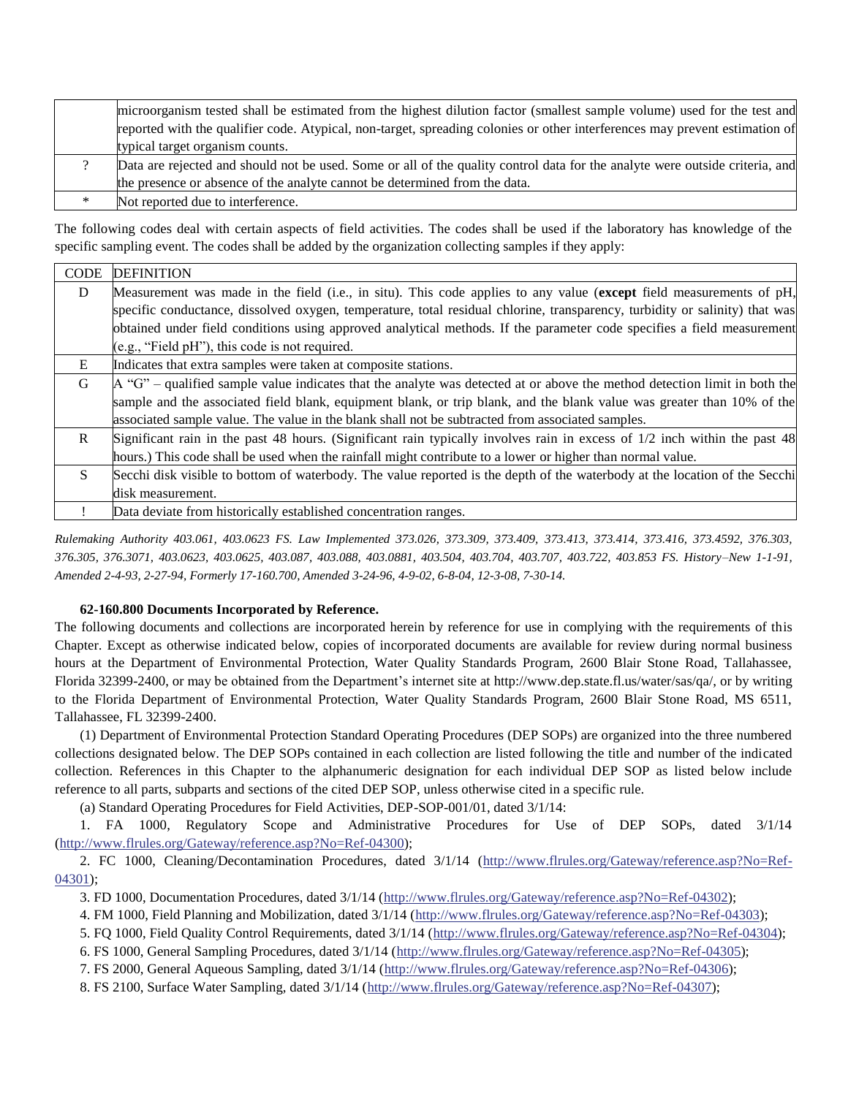|   | microorganism tested shall be estimated from the highest dilution factor (smallest sample volume) used for the test and      |
|---|------------------------------------------------------------------------------------------------------------------------------|
|   | reported with the qualifier code. Atypical, non-target, spreading colonies or other interferences may prevent estimation of  |
|   | typical target organism counts.                                                                                              |
|   | Data are rejected and should not be used. Some or all of the quality control data for the analyte were outside criteria, and |
|   | the presence or absence of the analyte cannot be determined from the data.                                                   |
| ∗ | Not reported due to interference.                                                                                            |

The following codes deal with certain aspects of field activities. The codes shall be used if the laboratory has knowledge of the specific sampling event. The codes shall be added by the organization collecting samples if they apply:

| <b>CODE</b>  | <b>DEFINITION</b>                                                                                                            |
|--------------|------------------------------------------------------------------------------------------------------------------------------|
| D            | Measurement was made in the field (i.e., in situ). This code applies to any value (except field measurements of pH,          |
|              | specific conductance, dissolved oxygen, temperature, total residual chlorine, transparency, turbidity or salinity) that was  |
|              | obtained under field conditions using approved analytical methods. If the parameter code specifies a field measurement       |
|              | $(e.g., "Field pH"), this code is not required.$                                                                             |
| E            | Indicates that extra samples were taken at composite stations.                                                               |
| G            | $A''G''$ – qualified sample value indicates that the analyte was detected at or above the method detection limit in both the |
|              | sample and the associated field blank, equipment blank, or trip blank, and the blank value was greater than 10% of the       |
|              | associated sample value. The value in the blank shall not be subtracted from associated samples.                             |
| $\mathbf{R}$ | Significant rain in the past 48 hours. (Significant rain typically involves rain in excess of 1/2 inch within the past 48    |
|              | hours.) This code shall be used when the rainfall might contribute to a lower or higher than normal value.                   |
| <sup>S</sup> | Secchi disk visible to bottom of waterbody. The value reported is the depth of the waterbody at the location of the Secchi   |
|              | disk measurement.                                                                                                            |
|              | Data deviate from historically established concentration ranges.                                                             |

*Rulemaking Authority 403.061, 403.0623 FS. Law Implemented 373.026, 373.309, 373.409, 373.413, 373.414, 373.416, 373.4592, 376.303, 376.305, 376.3071, 403.0623, 403.0625, 403.087, 403.088, 403.0881, 403.504, 403.704, 403.707, 403.722, 403.853 FS. History–New 1-1-91, Amended 2-4-93, 2-27-94, Formerly 17-160.700, Amended 3-24-96, 4-9-02, 6-8-04, 12-3-08, 7-30-14.*

# **62-160.800 Documents Incorporated by Reference.**

The following documents and collections are incorporated herein by reference for use in complying with the requirements of this Chapter. Except as otherwise indicated below, copies of incorporated documents are available for review during normal business hours at the Department of Environmental Protection, Water Quality Standards Program, 2600 Blair Stone Road, Tallahassee, Florida 32399-2400, or may be obtained from the Department's internet site at http://www.dep.state.fl.us/water/sas/qa/, or by writing to the Florida Department of Environmental Protection, Water Quality Standards Program, 2600 Blair Stone Road, MS 6511, Tallahassee, FL 32399-2400.

(1) Department of Environmental Protection Standard Operating Procedures (DEP SOPs) are organized into the three numbered collections designated below. The DEP SOPs contained in each collection are listed following the title and number of the indicated collection. References in this Chapter to the alphanumeric designation for each individual DEP SOP as listed below include reference to all parts, subparts and sections of the cited DEP SOP, unless otherwise cited in a specific rule.

(a) Standard Operating Procedures for Field Activities, DEP-SOP-001/01, dated 3/1/14:

1. FA 1000, Regulatory Scope and Administrative Procedures for Use of DEP SOPs, dated 3/1/14 [\(http://www.flrules.org/Gateway/reference.asp?No=Ref-04300\)](http://www.flrules.org/Gateway/reference.asp?No=Ref-04300);

2. FC 1000, Cleaning/Decontamination Procedures, dated 3/1/14 [\(http://www.flrules.org/Gateway/reference.asp?No=Ref-](http://www.flrules.org/Gateway/reference.asp?No=Ref-04301)[04301\)](http://www.flrules.org/Gateway/reference.asp?No=Ref-04301);

3. FD 1000, Documentation Procedures, dated 3/1/14 [\(http://www.flrules.org/Gateway/reference.asp?No=Ref-04302\)](http://www.flrules.org/Gateway/reference.asp?No=Ref-04302);

4. FM 1000, Field Planning and Mobilization, dated 3/1/14 [\(http://www.flrules.org/Gateway/reference.asp?No=Ref-04303\)](http://www.flrules.org/Gateway/reference.asp?No=Ref-04303);

5. FQ 1000, Field Quality Control Requirements, dated 3/1/14 [\(http://www.flrules.org/Gateway/reference.asp?No=Ref-04304\)](http://www.flrules.org/Gateway/reference.asp?No=Ref-04304);

6. FS 1000, General Sampling Procedures, dated 3/1/14 [\(http://www.flrules.org/Gateway/reference.asp?No=Ref-04305\)](http://www.flrules.org/Gateway/reference.asp?No=Ref-04305);

7. FS 2000, General Aqueous Sampling, dated 3/1/14 [\(http://www.flrules.org/Gateway/reference.asp?No=Ref-04306\)](http://www.flrules.org/Gateway/reference.asp?No=Ref-04306);

8. FS 2100, Surface Water Sampling, dated 3/1/14 [\(http://www.flrules.org/Gateway/reference.asp?No=Ref-04307\)](http://www.flrules.org/Gateway/reference.asp?No=Ref-04307);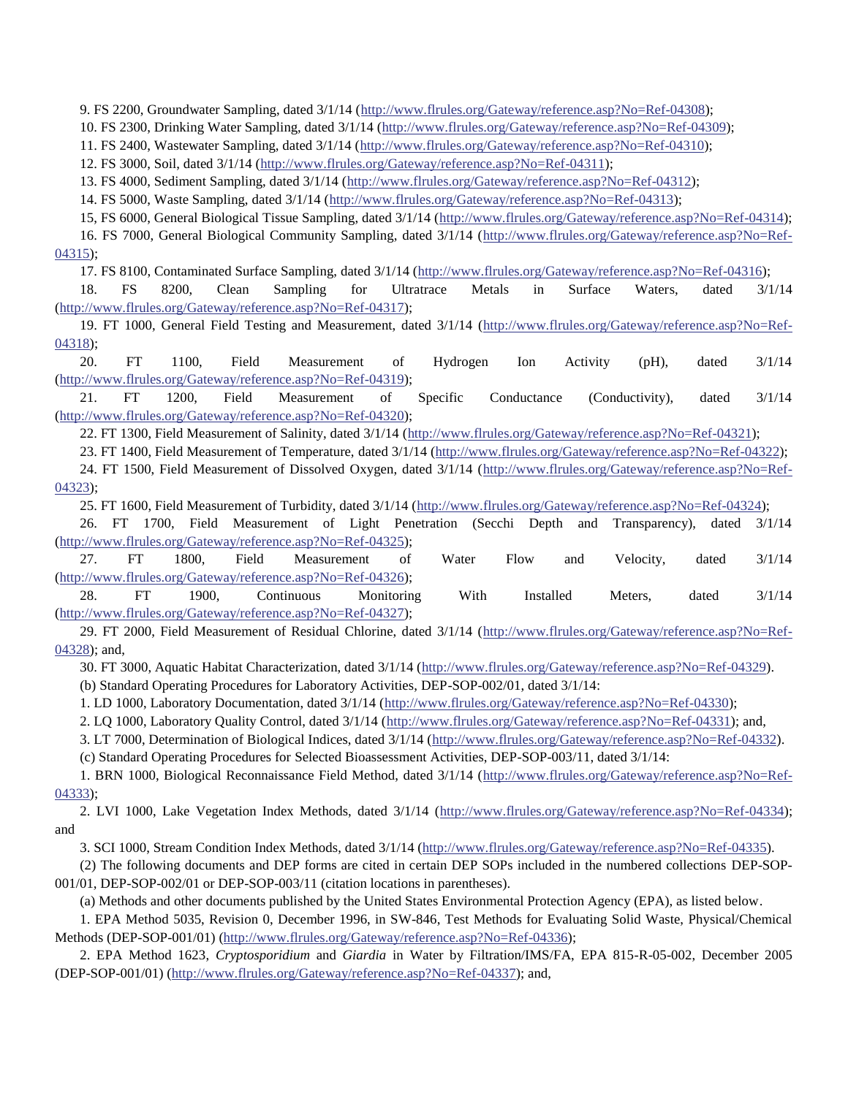9. FS 2200, Groundwater Sampling, dated 3/1/14 [\(http://www.flrules.org/Gateway/reference.asp?No=Ref-04308\)](http://www.flrules.org/Gateway/reference.asp?No=Ref-04308);

10. FS 2300, Drinking Water Sampling, dated 3/1/14 [\(http://www.flrules.org/Gateway/reference.asp?No=Ref-04309\)](http://www.flrules.org/Gateway/reference.asp?No=Ref-04309);

11. FS 2400, Wastewater Sampling, dated 3/1/14 [\(http://www.flrules.org/Gateway/reference.asp?No=Ref-04310\)](http://www.flrules.org/Gateway/reference.asp?No=Ref-04310);

12. FS 3000, Soil, dated 3/1/14 [\(http://www.flrules.org/Gateway/reference.asp?No=Ref-04311\)](http://www.flrules.org/Gateway/reference.asp?No=Ref-04311);

13. FS 4000, Sediment Sampling, dated 3/1/14 [\(http://www.flrules.org/Gateway/reference.asp?No=Ref-04312\)](http://www.flrules.org/Gateway/reference.asp?No=Ref-04312);

14. FS 5000, Waste Sampling, dated 3/1/14 [\(http://www.flrules.org/Gateway/reference.asp?No=Ref-04313\)](http://www.flrules.org/Gateway/reference.asp?No=Ref-04313);

15, FS 6000, General Biological Tissue Sampling, dated 3/1/14 [\(http://www.flrules.org/Gateway/reference.asp?No=Ref-04314\)](http://www.flrules.org/Gateway/reference.asp?No=Ref-04314);

16. FS 7000, General Biological Community Sampling, dated 3/1/14 [\(http://www.flrules.org/Gateway/reference.asp?No=Ref-](http://www.flrules.org/Gateway/reference.asp?No=Ref-04315)[04315\)](http://www.flrules.org/Gateway/reference.asp?No=Ref-04315);

17. FS 8100, Contaminated Surface Sampling, dated 3/1/14 [\(http://www.flrules.org/Gateway/reference.asp?No=Ref-04316\)](http://www.flrules.org/Gateway/reference.asp?No=Ref-04316);

18. FS 8200, Clean Sampling for Ultratrace Metals in Surface Waters, dated 3/1/14 [\(http://www.flrules.org/Gateway/reference.asp?No=Ref-04317\)](http://www.flrules.org/Gateway/reference.asp?No=Ref-04317);

19. FT 1000, General Field Testing and Measurement, dated 3/1/14 [\(http://www.flrules.org/Gateway/reference.asp?No=Ref-](http://www.flrules.org/Gateway/reference.asp?No=Ref-04318)[04318\)](http://www.flrules.org/Gateway/reference.asp?No=Ref-04318);

20. FT 1100, Field Measurement of Hydrogen Ion Activity (pH), dated 3/1/14 [\(http://www.flrules.org/Gateway/reference.asp?No=Ref-04319\)](http://www.flrules.org/Gateway/reference.asp?No=Ref-04319);

21. FT 1200, Field Measurement of Specific Conductance (Conductivity), dated 3/1/14 [\(http://www.flrules.org/Gateway/reference.asp?No=Ref-04320\)](http://www.flrules.org/Gateway/reference.asp?No=Ref-04320);

22. FT 1300, Field Measurement of Salinity, dated 3/1/14 [\(http://www.flrules.org/Gateway/reference.asp?No=Ref-04321\)](http://www.flrules.org/Gateway/reference.asp?No=Ref-04321);

23. FT 1400, Field Measurement of Temperature, dated 3/1/14 [\(http://www.flrules.org/Gateway/reference.asp?No=Ref-04322\)](http://www.flrules.org/Gateway/reference.asp?No=Ref-04322);

24. FT 1500, Field Measurement of Dissolved Oxygen, dated 3/1/14 [\(http://www.flrules.org/Gateway/reference.asp?No=Ref-](http://www.flrules.org/Gateway/reference.asp?No=Ref-04323)[04323\)](http://www.flrules.org/Gateway/reference.asp?No=Ref-04323);

25. FT 1600, Field Measurement of Turbidity, dated 3/1/14 [\(http://www.flrules.org/Gateway/reference.asp?No=Ref-04324\)](http://www.flrules.org/Gateway/reference.asp?No=Ref-04324);

26. FT 1700, Field Measurement of Light Penetration (Secchi Depth and Transparency), dated 3/1/14 [\(http://www.flrules.org/Gateway/reference.asp?No=Ref-04325\)](http://www.flrules.org/Gateway/reference.asp?No=Ref-04325);

27. FT 1800, Field Measurement of Water Flow and Velocity, dated 3/1/14 [\(http://www.flrules.org/Gateway/reference.asp?No=Ref-04326\)](http://www.flrules.org/Gateway/reference.asp?No=Ref-04326);

28. FT 1900, Continuous Monitoring With Installed Meters, dated 3/1/14 [\(http://www.flrules.org/Gateway/reference.asp?No=Ref-04327\)](http://www.flrules.org/Gateway/reference.asp?No=Ref-04327);

29. FT 2000, Field Measurement of Residual Chlorine, dated 3/1/14 [\(http://www.flrules.org/Gateway/reference.asp?No=Ref-](http://www.flrules.org/Gateway/reference.asp?No=Ref-04328)[04328\)](http://www.flrules.org/Gateway/reference.asp?No=Ref-04328); and,

30. FT 3000, Aquatic Habitat Characterization, dated 3/1/14 [\(http://www.flrules.org/Gateway/reference.asp?No=Ref-04329\)](http://www.flrules.org/Gateway/reference.asp?No=Ref-04329).

(b) Standard Operating Procedures for Laboratory Activities, DEP-SOP-002/01, dated 3/1/14:

1. LD 1000, Laboratory Documentation, dated 3/1/14 [\(http://www.flrules.org/Gateway/reference.asp?No=Ref-04330\)](http://www.flrules.org/Gateway/reference.asp?No=Ref-04330);

2. LQ 1000, Laboratory Quality Control, dated 3/1/14 [\(http://www.flrules.org/Gateway/reference.asp?No=Ref-04331\)](http://www.flrules.org/Gateway/reference.asp?No=Ref-04331); and,

3. LT 7000, Determination of Biological Indices, dated 3/1/14 [\(http://www.flrules.org/Gateway/reference.asp?No=Ref-04332\)](http://www.flrules.org/Gateway/reference.asp?No=Ref-04332).

(c) Standard Operating Procedures for Selected Bioassessment Activities, DEP-SOP-003/11, dated 3/1/14:

1. BRN 1000, Biological Reconnaissance Field Method, dated 3/1/14 [\(http://www.flrules.org/Gateway/reference.asp?No=Ref-](http://www.flrules.org/Gateway/reference.asp?No=Ref-04333)[04333\)](http://www.flrules.org/Gateway/reference.asp?No=Ref-04333);

2. LVI 1000, Lake Vegetation Index Methods, dated 3/1/14 [\(http://www.flrules.org/Gateway/reference.asp?No=Ref-04334\)](http://www.flrules.org/Gateway/reference.asp?No=Ref-04334); and

3. SCI 1000, Stream Condition Index Methods, dated 3/1/14 [\(http://www.flrules.org/Gateway/reference.asp?No=Ref-04335\)](http://www.flrules.org/Gateway/reference.asp?No=Ref-04335).

(2) The following documents and DEP forms are cited in certain DEP SOPs included in the numbered collections DEP-SOP-001/01, DEP-SOP-002/01 or DEP-SOP-003/11 (citation locations in parentheses).

(a) Methods and other documents published by the United States Environmental Protection Agency (EPA), as listed below.

1. EPA Method 5035, Revision 0, December 1996, in SW-846, Test Methods for Evaluating Solid Waste, Physical/Chemical Methods (DEP-SOP-001/01) [\(http://www.flrules.org/Gateway/reference.asp?No=Ref-04336\)](http://www.flrules.org/Gateway/reference.asp?No=Ref-04336);

2. EPA Method 1623, *Cryptosporidium* and *Giardia* in Water by Filtration/IMS/FA, EPA 815-R-05-002, December 2005 (DEP-SOP-001/01) [\(http://www.flrules.org/Gateway/reference.asp?No=Ref-04337\)](http://www.flrules.org/Gateway/reference.asp?No=Ref-04337); and,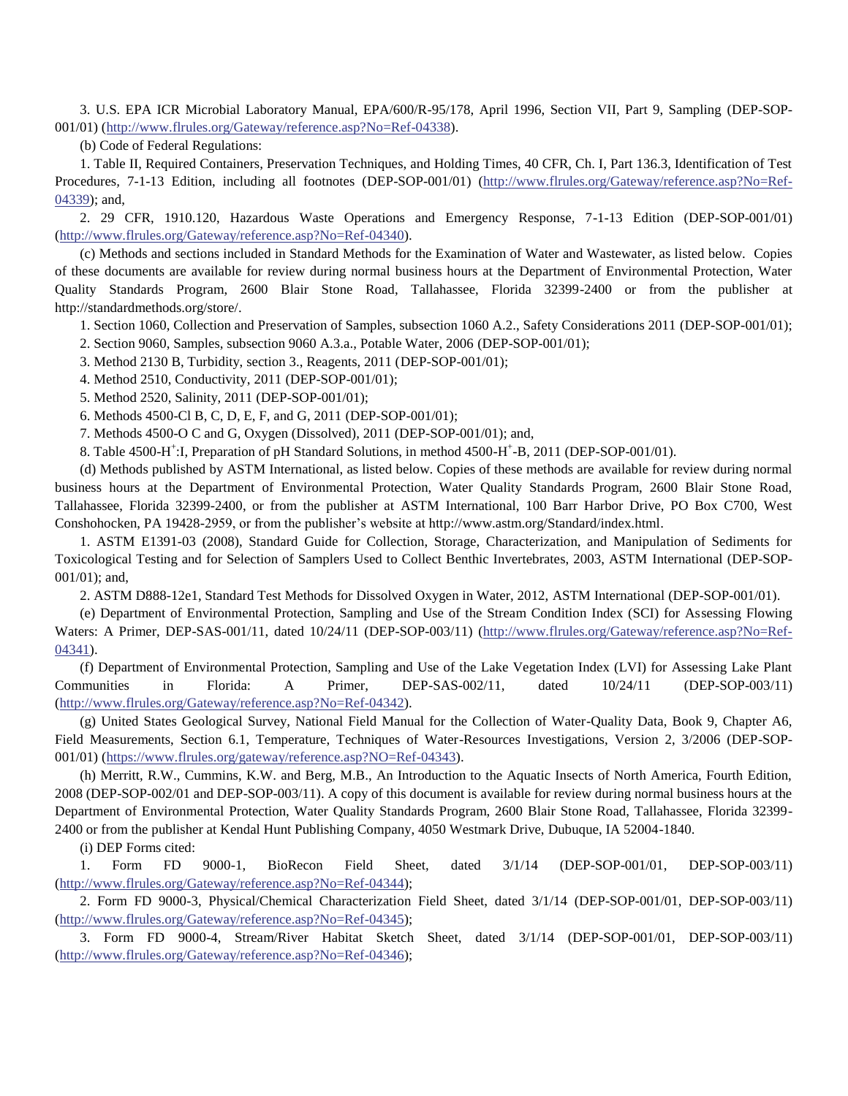3. U.S. EPA ICR Microbial Laboratory Manual, EPA/600/R-95/178, April 1996, Section VII, Part 9, Sampling (DEP-SOP-001/01) [\(http://www.flrules.org/Gateway/reference.asp?No=Ref-04338\)](http://www.flrules.org/Gateway/reference.asp?No=Ref-04338).

(b) Code of Federal Regulations:

1. Table II, Required Containers, Preservation Techniques, and Holding Times, 40 CFR, Ch. I, Part 136.3, Identification of Test Procedures*,* 7-1-13 Edition, including all footnotes (DEP-SOP-001/01) [\(http://www.flrules.org/Gateway/reference.asp?No=Ref-](http://www.flrules.org/Gateway/reference.asp?No=Ref-04339)[04339\)](http://www.flrules.org/Gateway/reference.asp?No=Ref-04339); and,

2. 29 CFR, 1910.120, Hazardous Waste Operations and Emergency Response, 7-1-13 Edition (DEP-SOP-001/01) [\(http://www.flrules.org/Gateway/reference.asp?No=Ref-04340\)](http://www.flrules.org/Gateway/reference.asp?No=Ref-04340).

(c) Methods and sections included in Standard Methods for the Examination of Water and Wastewater, as listed below. Copies of these documents are available for review during normal business hours at the Department of Environmental Protection, Water Quality Standards Program, 2600 Blair Stone Road, Tallahassee, Florida 32399-2400 or from the publisher at http://standardmethods.org/store/.

1. Section 1060, Collection and Preservation of Samples, subsection 1060 A.2., Safety Considerations 2011 (DEP-SOP-001/01);

2. Section 9060, Samples, subsection 9060 A.3.a., Potable Water, 2006 (DEP-SOP-001/01);

3. Method 2130 B, Turbidity, section 3., Reagents, 2011 (DEP-SOP-001/01);

4. Method 2510, Conductivity, 2011 (DEP-SOP-001/01);

5. Method 2520, Salinity, 2011 (DEP-SOP-001/01);

6. Methods 4500-Cl B, C, D, E, F, and G, 2011 (DEP-SOP-001/01);

7. Methods 4500-O C and G, Oxygen (Dissolved), 2011 (DEP-SOP-001/01); and,

8. Table 4500-H<sup>+</sup>:I, Preparation of pH Standard Solutions, in method 4500-H<sup>+</sup>-B, 2011 (DEP-SOP-001/01).

(d) Methods published by ASTM International, as listed below. Copies of these methods are available for review during normal business hours at the Department of Environmental Protection, Water Quality Standards Program, 2600 Blair Stone Road, Tallahassee, Florida 32399-2400, or from the publisher at ASTM International, 100 Barr Harbor Drive, PO Box C700, West Conshohocken, PA 19428-2959, or from the publisher's website at http://www.astm.org/Standard/index.html.

1. ASTM E1391-03 (2008), Standard Guide for Collection, Storage, Characterization, and Manipulation of Sediments for Toxicological Testing and for Selection of Samplers Used to Collect Benthic Invertebrates, 2003, ASTM International (DEP-SOP-001/01); and,

2. ASTM D888-12e1, Standard Test Methods for Dissolved Oxygen in Water, 2012, ASTM International (DEP-SOP-001/01).

(e) Department of Environmental Protection, Sampling and Use of the Stream Condition Index (SCI) for Assessing Flowing Waters: A Primer, DEP-SAS-001/11, dated 10/24/11 (DEP-SOP-003/11) [\(http://www.flrules.org/Gateway/reference.asp?No=Ref-](http://www.flrules.org/Gateway/reference.asp?No=Ref-04341)[04341\)](http://www.flrules.org/Gateway/reference.asp?No=Ref-04341).

(f) Department of Environmental Protection, Sampling and Use of the Lake Vegetation Index (LVI) for Assessing Lake Plant Communities in Florida: A Primer, DEP-SAS-002/11, dated 10/24/11 (DEP-SOP-003/11) [\(http://www.flrules.org/Gateway/reference.asp?No=Ref-04342\)](http://www.flrules.org/Gateway/reference.asp?No=Ref-04342).

(g) United States Geological Survey, National Field Manual for the Collection of Water-Quality Data, Book 9, Chapter A6, Field Measurements, Section 6.1, Temperature, Techniques of Water-Resources Investigations, Version 2, 3/2006 (DEP-SOP-001/01) [\(https://www.flrules.org/gateway/reference.asp?NO=Ref-04343\)](https://www.flrules.org/gateway/reference.asp?NO=Ref-04343).

(h) Merritt, R.W., Cummins, K.W. and Berg, M.B., An Introduction to the Aquatic Insects of North America, Fourth Edition, 2008 (DEP-SOP-002/01 and DEP-SOP-003/11). A copy of this document is available for review during normal business hours at the Department of Environmental Protection, Water Quality Standards Program, 2600 Blair Stone Road, Tallahassee, Florida 32399- 2400 or from the publisher at Kendal Hunt Publishing Company, 4050 Westmark Drive, Dubuque, IA 52004-1840.

(i) DEP Forms cited:

1. Form FD 9000-1, BioRecon Field Sheet, dated 3/1/14 (DEP-SOP-001/01, DEP-SOP-003/11) [\(http://www.flrules.org/Gateway/reference.asp?No=Ref-04344\)](http://www.flrules.org/Gateway/reference.asp?No=Ref-04344);

2. Form FD 9000-3, Physical/Chemical Characterization Field Sheet, dated 3/1/14 (DEP-SOP-001/01, DEP-SOP-003/11) [\(http://www.flrules.org/Gateway/reference.asp?No=Ref-04345\)](http://www.flrules.org/Gateway/reference.asp?No=Ref-04345);

3. Form FD 9000-4, Stream/River Habitat Sketch Sheet, dated 3/1/14 (DEP-SOP-001/01, DEP-SOP-003/11) [\(http://www.flrules.org/Gateway/reference.asp?No=Ref-04346\)](http://www.flrules.org/Gateway/reference.asp?No=Ref-04346);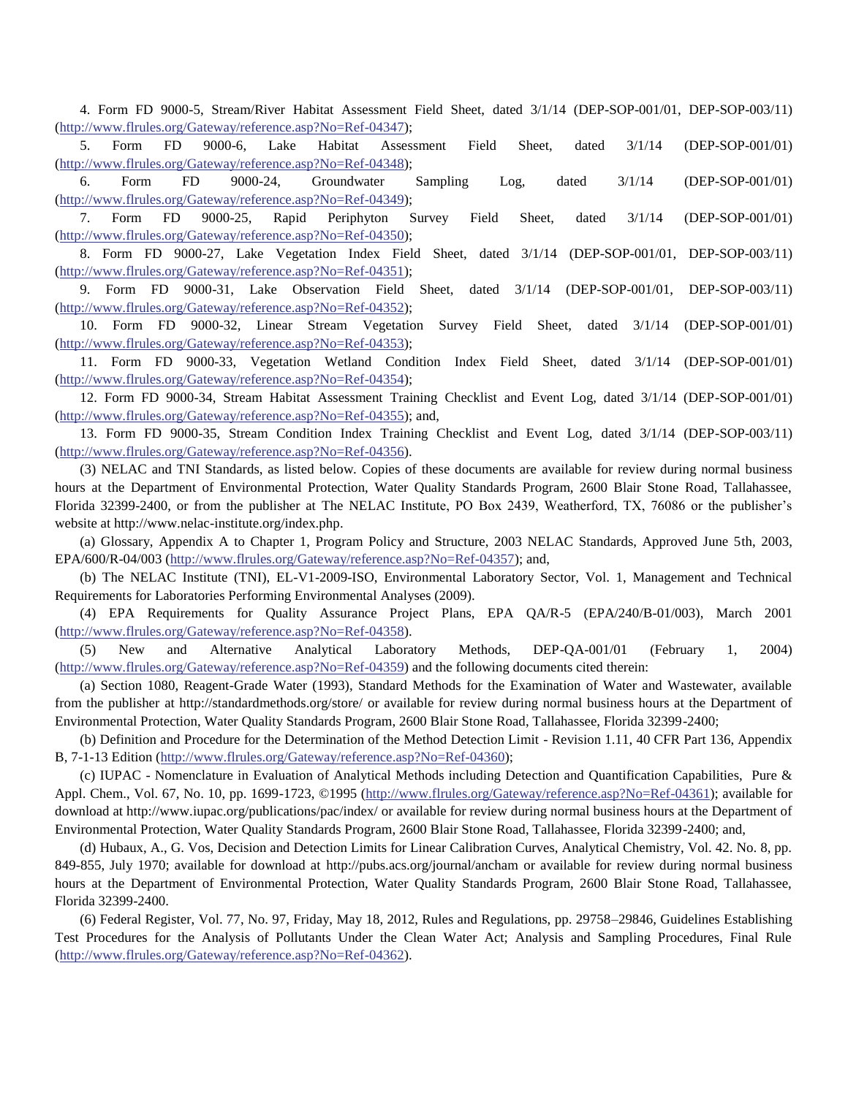4. Form FD 9000-5, Stream/River Habitat Assessment Field Sheet, dated 3/1/14 (DEP-SOP-001/01, DEP-SOP-003/11) [\(http://www.flrules.org/Gateway/reference.asp?No=Ref-04347\)](http://www.flrules.org/Gateway/reference.asp?No=Ref-04347);

5. Form FD 9000-6, Lake Habitat Assessment Field Sheet, dated 3/1/14 (DEP-SOP-001/01) [\(http://www.flrules.org/Gateway/reference.asp?No=Ref-04348\)](http://www.flrules.org/Gateway/reference.asp?No=Ref-04348);

6. Form FD 9000-24, Groundwater Sampling Log, dated 3/1/14 (DEP-SOP-001/01) [\(http://www.flrules.org/Gateway/reference.asp?No=Ref-04349\)](http://www.flrules.org/Gateway/reference.asp?No=Ref-04349);

7. Form FD 9000-25, Rapid Periphyton Survey Field Sheet, dated 3/1/14 (DEP-SOP-001/01) [\(http://www.flrules.org/Gateway/reference.asp?No=Ref-04350\)](http://www.flrules.org/Gateway/reference.asp?No=Ref-04350);

8. Form FD 9000-27, Lake Vegetation Index Field Sheet, dated 3/1/14 (DEP-SOP-001/01, DEP-SOP-003/11) [\(http://www.flrules.org/Gateway/reference.asp?No=Ref-04351\)](http://www.flrules.org/Gateway/reference.asp?No=Ref-04351);

9. Form FD 9000-31, Lake Observation Field Sheet, dated 3/1/14 (DEP-SOP-001/01, DEP-SOP-003/11) [\(http://www.flrules.org/Gateway/reference.asp?No=Ref-04352\)](http://www.flrules.org/Gateway/reference.asp?No=Ref-04352);

10. Form FD 9000-32, Linear Stream Vegetation Survey Field Sheet, dated 3/1/14 (DEP-SOP-001/01) [\(http://www.flrules.org/Gateway/reference.asp?No=Ref-04353\)](http://www.flrules.org/Gateway/reference.asp?No=Ref-04353);

11. Form FD 9000-33, Vegetation Wetland Condition Index Field Sheet, dated 3/1/14 (DEP-SOP-001/01) [\(http://www.flrules.org/Gateway/reference.asp?No=Ref-04354\)](http://www.flrules.org/Gateway/reference.asp?No=Ref-04354);

12. Form FD 9000-34, Stream Habitat Assessment Training Checklist and Event Log, dated 3/1/14 (DEP-SOP-001/01) [\(http://www.flrules.org/Gateway/reference.asp?No=Ref-04355\)](http://www.flrules.org/Gateway/reference.asp?No=Ref-04355); and,

13. Form FD 9000-35, Stream Condition Index Training Checklist and Event Log, dated 3/1/14 (DEP-SOP-003/11) [\(http://www.flrules.org/Gateway/reference.asp?No=Ref-04356\)](http://www.flrules.org/Gateway/reference.asp?No=Ref-04356).

(3) NELAC and TNI Standards, as listed below. Copies of these documents are available for review during normal business hours at the Department of Environmental Protection, Water Quality Standards Program, 2600 Blair Stone Road, Tallahassee, Florida 32399-2400, or from the publisher at The NELAC Institute, PO Box 2439, Weatherford, TX, 76086 or the publisher's website at http://www.nelac-institute.org/index.php.

(a) Glossary, Appendix A to Chapter 1, Program Policy and Structure, 2003 NELAC Standards, Approved June 5th, 2003, EPA/600/R-04/003 [\(http://www.flrules.org/Gateway/reference.asp?No=Ref-04357\)](http://www.flrules.org/Gateway/reference.asp?No=Ref-04357); and,

(b) The NELAC Institute (TNI), EL-V1-2009-ISO, Environmental Laboratory Sector, Vol. 1, Management and Technical Requirements for Laboratories Performing Environmental Analyses (2009).

(4) EPA Requirements for Quality Assurance Project Plans, EPA QA/R-5 (EPA/240/B-01/003), March 2001 [\(http://www.flrules.org/Gateway/reference.asp?No=Ref-04358\)](http://www.flrules.org/Gateway/reference.asp?No=Ref-04358).

(5) New and Alternative Analytical Laboratory Methods, DEP-QA-001/01 (February 1, 2004) [\(http://www.flrules.org/Gateway/reference.asp?No=Ref-04359\)](http://www.flrules.org/Gateway/reference.asp?No=Ref-04359) and the following documents cited therein:

(a) Section 1080, Reagent-Grade Water (1993), Standard Methods for the Examination of Water and Wastewater, available from the publisher at http://standardmethods.org/store/ or available for review during normal business hours at the Department of Environmental Protection, Water Quality Standards Program, 2600 Blair Stone Road, Tallahassee, Florida 32399-2400;

(b) Definition and Procedure for the Determination of the Method Detection Limit - Revision 1.11, 40 CFR Part 136, Appendix B, 7-1-13 Edition [\(http://www.flrules.org/Gateway/reference.asp?No=Ref-04360\)](http://www.flrules.org/Gateway/reference.asp?No=Ref-04360);

(c) IUPAC - Nomenclature in Evaluation of Analytical Methods including Detection and Quantification Capabilities, Pure & Appl. Chem., Vol. 67, No. 10, pp. 1699-1723, ©1995 [\(http://www.flrules.org/Gateway/reference.asp?No=Ref-04361\)](http://www.flrules.org/Gateway/reference.asp?No=Ref-04361); available for download at http://www.iupac.org/publications/pac/index/ or available for review during normal business hours at the Department of Environmental Protection, Water Quality Standards Program, 2600 Blair Stone Road, Tallahassee, Florida 32399-2400; and,

(d) Hubaux, A., G. Vos, Decision and Detection Limits for Linear Calibration Curves, Analytical Chemistry, Vol. 42. No. 8, pp. 849-855, July 1970; available for download at http://pubs.acs.org/journal/ancham or available for review during normal business hours at the Department of Environmental Protection, Water Quality Standards Program, 2600 Blair Stone Road, Tallahassee, Florida 32399-2400.

(6) Federal Register, Vol. 77, No. 97, Friday, May 18, 2012, Rules and Regulations, pp. 29758–29846, Guidelines Establishing Test Procedures for the Analysis of Pollutants Under the Clean Water Act; Analysis and Sampling Procedures, Final Rule [\(http://www.flrules.org/Gateway/reference.asp?No=Ref-04362\)](http://www.flrules.org/Gateway/reference.asp?No=Ref-04362).